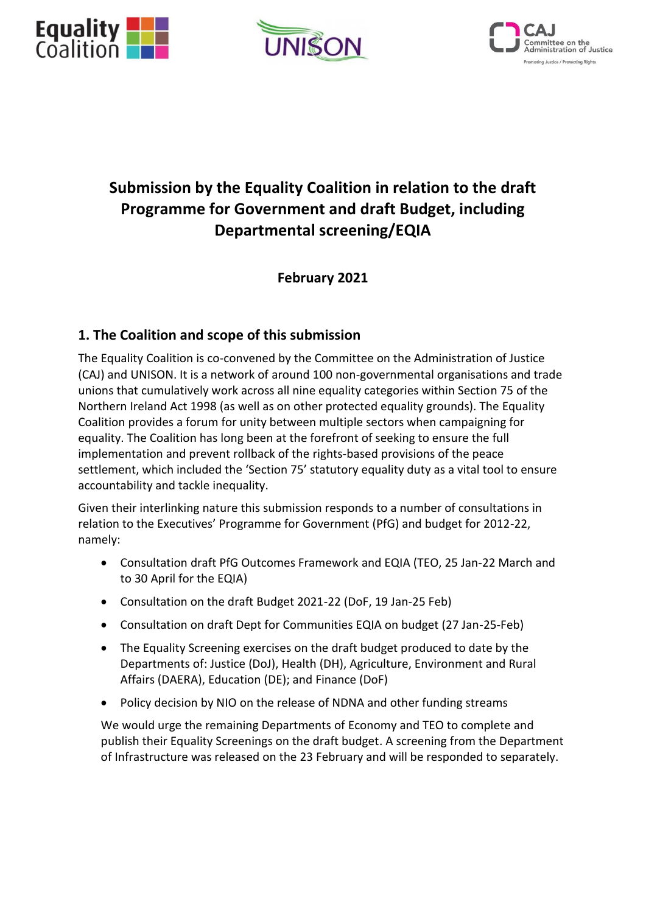





# **Submission by the Equality Coalition in relation to the draft Programme for Government and draft Budget, including Departmental screening/EQIA**

**February 2021**

## **1. The Coalition and scope of this submission**

The Equality Coalition is co-convened by the Committee on the Administration of Justice (CAJ) and UNISON. It is a network of around 100 non-governmental organisations and trade unions that cumulatively work across all nine equality categories within Section 75 of the Northern Ireland Act 1998 (as well as on other protected equality grounds). The Equality Coalition provides a forum for unity between multiple sectors when campaigning for equality. The Coalition has long been at the forefront of seeking to ensure the full implementation and prevent rollback of the rights-based provisions of the peace settlement, which included the 'Section 75' statutory equality duty as a vital tool to ensure accountability and tackle inequality.

Given their interlinking nature this submission responds to a number of consultations in relation to the Executives' Programme for Government (PfG) and budget for 2012-22, namely:

- Consultation draft PfG Outcomes Framework and EQIA (TEO, 25 Jan-22 March and to 30 April for the EQIA)
- Consultation on the draft Budget 2021-22 (DoF, 19 Jan-25 Feb)
- Consultation on draft Dept for Communities EQIA on budget (27 Jan-25-Feb)
- The Equality Screening exercises on the draft budget produced to date by the Departments of: Justice (DoJ), Health (DH), Agriculture, Environment and Rural Affairs (DAERA), Education (DE); and Finance (DoF)
- Policy decision by NIO on the release of NDNA and other funding streams

We would urge the remaining Departments of Economy and TEO to complete and publish their Equality Screenings on the draft budget. A screening from the Department of Infrastructure was released on the 23 February and will be responded to separately.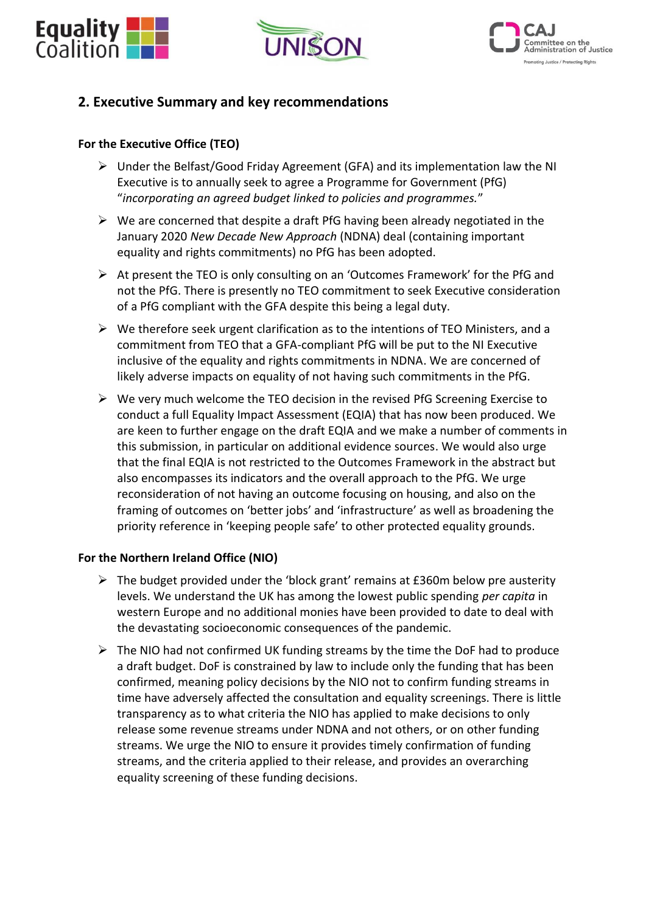





## **2. Executive Summary and key recommendations**

## **For the Executive Office (TEO)**

- $\triangleright$  Under the Belfast/Good Friday Agreement (GFA) and its implementation law the NI Executive is to annually seek to agree a Programme for Government (PfG) "*incorporating an agreed budget linked to policies and programmes.*"
- $\triangleright$  We are concerned that despite a draft PfG having been already negotiated in the January 2020 *New Decade New Approach* (NDNA) deal (containing important equality and rights commitments) no PfG has been adopted.
- ➢ At present the TEO is only consulting on an 'Outcomes Framework' for the PfG and not the PfG. There is presently no TEO commitment to seek Executive consideration of a PfG compliant with the GFA despite this being a legal duty.
- $\triangleright$  We therefore seek urgent clarification as to the intentions of TEO Ministers, and a commitment from TEO that a GFA-compliant PfG will be put to the NI Executive inclusive of the equality and rights commitments in NDNA. We are concerned of likely adverse impacts on equality of not having such commitments in the PfG.
- ➢ We very much welcome the TEO decision in the revised PfG Screening Exercise to conduct a full Equality Impact Assessment (EQIA) that has now been produced. We are keen to further engage on the draft EQIA and we make a number of comments in this submission, in particular on additional evidence sources. We would also urge that the final EQIA is not restricted to the Outcomes Framework in the abstract but also encompasses its indicators and the overall approach to the PfG. We urge reconsideration of not having an outcome focusing on housing, and also on the framing of outcomes on 'better jobs' and 'infrastructure' as well as broadening the priority reference in 'keeping people safe' to other protected equality grounds.

#### **For the Northern Ireland Office (NIO)**

- $\triangleright$  The budget provided under the 'block grant' remains at £360m below pre austerity levels. We understand the UK has among the lowest public spending *per capita* in western Europe and no additional monies have been provided to date to deal with the devastating socioeconomic consequences of the pandemic.
- $\triangleright$  The NIO had not confirmed UK funding streams by the time the DoF had to produce a draft budget. DoF is constrained by law to include only the funding that has been confirmed, meaning policy decisions by the NIO not to confirm funding streams in time have adversely affected the consultation and equality screenings. There is little transparency as to what criteria the NIO has applied to make decisions to only release some revenue streams under NDNA and not others, or on other funding streams. We urge the NIO to ensure it provides timely confirmation of funding streams, and the criteria applied to their release, and provides an overarching equality screening of these funding decisions.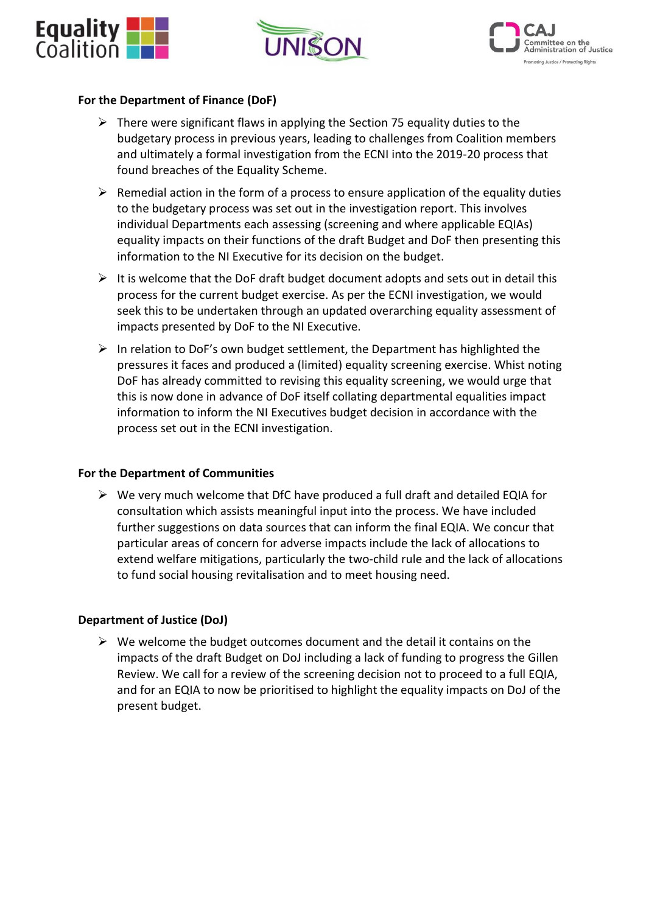





#### **For the Department of Finance (DoF)**

- $\triangleright$  There were significant flaws in applying the Section 75 equality duties to the budgetary process in previous years, leading to challenges from Coalition members and ultimately a formal investigation from the ECNI into the 2019-20 process that found breaches of the Equality Scheme.
- $\triangleright$  Remedial action in the form of a process to ensure application of the equality duties to the budgetary process was set out in the investigation report. This involves individual Departments each assessing (screening and where applicable EQIAs) equality impacts on their functions of the draft Budget and DoF then presenting this information to the NI Executive for its decision on the budget.
- $\triangleright$  It is welcome that the DoF draft budget document adopts and sets out in detail this process for the current budget exercise. As per the ECNI investigation, we would seek this to be undertaken through an updated overarching equality assessment of impacts presented by DoF to the NI Executive.
- ➢ In relation to DoF's own budget settlement, the Department has highlighted the pressures it faces and produced a (limited) equality screening exercise. Whist noting DoF has already committed to revising this equality screening, we would urge that this is now done in advance of DoF itself collating departmental equalities impact information to inform the NI Executives budget decision in accordance with the process set out in the ECNI investigation.

#### **For the Department of Communities**

 $\triangleright$  We very much welcome that DfC have produced a full draft and detailed EQIA for consultation which assists meaningful input into the process. We have included further suggestions on data sources that can inform the final EQIA. We concur that particular areas of concern for adverse impacts include the lack of allocations to extend welfare mitigations, particularly the two-child rule and the lack of allocations to fund social housing revitalisation and to meet housing need.

## **Department of Justice (DoJ)**

 $\triangleright$  We welcome the budget outcomes document and the detail it contains on the impacts of the draft Budget on DoJ including a lack of funding to progress the Gillen Review. We call for a review of the screening decision not to proceed to a full EQIA, and for an EQIA to now be prioritised to highlight the equality impacts on DoJ of the present budget.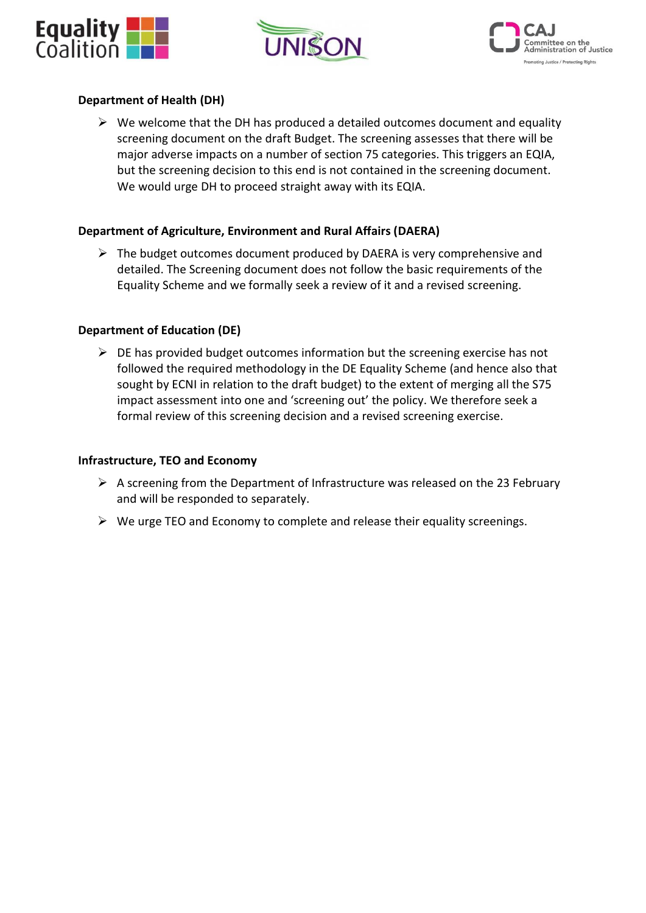





## **Department of Health (DH)**

 $\triangleright$  We welcome that the DH has produced a detailed outcomes document and equality screening document on the draft Budget. The screening assesses that there will be major adverse impacts on a number of section 75 categories. This triggers an EQIA, but the screening decision to this end is not contained in the screening document. We would urge DH to proceed straight away with its EQIA.

## **Department of Agriculture, Environment and Rural Affairs (DAERA)**

 $\triangleright$  The budget outcomes document produced by DAERA is very comprehensive and detailed. The Screening document does not follow the basic requirements of the Equality Scheme and we formally seek a review of it and a revised screening.

## **Department of Education (DE)**

 $\triangleright$  DE has provided budget outcomes information but the screening exercise has not followed the required methodology in the DE Equality Scheme (and hence also that sought by ECNI in relation to the draft budget) to the extent of merging all the S75 impact assessment into one and 'screening out' the policy. We therefore seek a formal review of this screening decision and a revised screening exercise.

#### **Infrastructure, TEO and Economy**

- $\triangleright$  A screening from the Department of Infrastructure was released on the 23 February and will be responded to separately.
- ➢ We urge TEO and Economy to complete and release their equality screenings.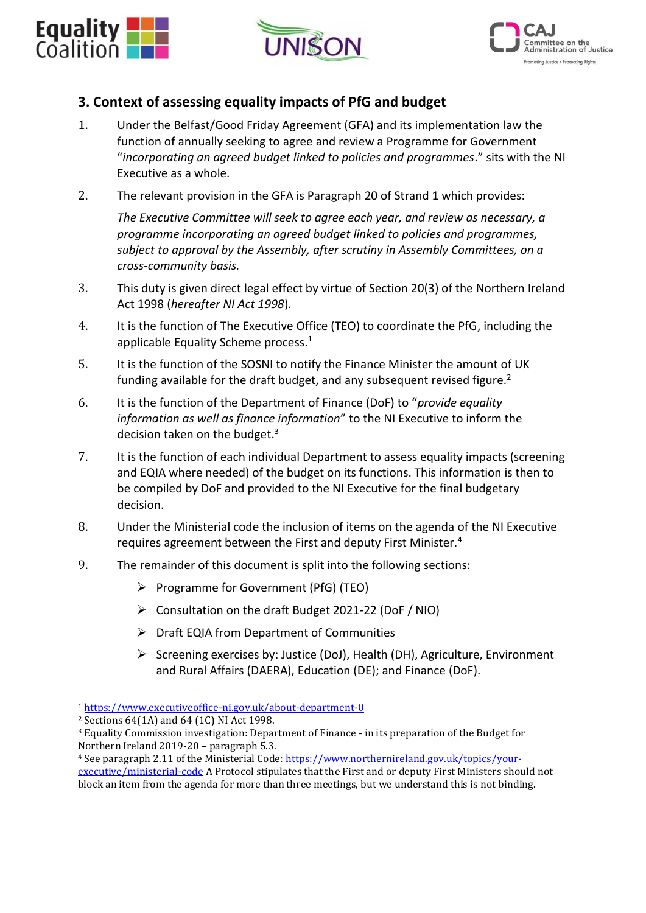





## **3. Context of assessing equality impacts of PfG and budget**

- 1. Under the Belfast/Good Friday Agreement (GFA) and its implementation law the function of annually seeking to agree and review a Programme for Government "*incorporating an agreed budget linked to policies and programmes*." sits with the NI Executive as a whole.
- 2. The relevant provision in the GFA is Paragraph 20 of Strand 1 which provides:

*The Executive Committee will seek to agree each year, and review as necessary, a programme incorporating an agreed budget linked to policies and programmes, subject to approval by the Assembly, after scrutiny in Assembly Committees, on a cross-community basis.*

- 3. This duty is given direct legal effect by virtue of Section 20(3) of the Northern Ireland Act 1998 (*hereafter NI Act 1998*).
- 4. It is the function of The Executive Office (TEO) to coordinate the PfG, including the applicable Equality Scheme process.<sup>1</sup>
- 5. It is the function of the SOSNI to notify the Finance Minister the amount of UK funding available for the draft budget, and any subsequent revised figure.<sup>2</sup>
- 6. It is the function of the Department of Finance (DoF) to "*provide equality information as well as finance information*" to the NI Executive to inform the decision taken on the budget.<sup>3</sup>
- 7. It is the function of each individual Department to assess equality impacts (screening and EQIA where needed) of the budget on its functions. This information is then to be compiled by DoF and provided to the NI Executive for the final budgetary decision.
- 8. Under the Ministerial code the inclusion of items on the agenda of the NI Executive requires agreement between the First and deputy First Minister.<sup>4</sup>
- 9. The remainder of this document is split into the following sections:
	- ➢ Programme for Government (PfG) (TEO)
	- ➢ Consultation on the draft Budget 2021-22 (DoF / NIO)
	- $\triangleright$  Draft EQIA from Department of Communities
	- ➢ Screening exercises by: Justice (DoJ), Health (DH), Agriculture, Environment and Rural Affairs (DAERA), Education (DE); and Finance (DoF).

<sup>1</sup> <https://www.executiveoffice-ni.gov.uk/about-department-0>

<sup>2</sup> Sections 64(1A) and 64 (1C) NI Act 1998.

<sup>3</sup> Equality Commission investigation: Department of Finance - in its preparation of the Budget for Northern Ireland 2019-20 – paragraph 5.3.

<sup>4</sup> See paragraph 2.11 of the Ministerial Code[: https://www.northernireland.gov.uk/topics/your-](https://www.northernireland.gov.uk/topics/your-executive/ministerial-code)

[executive/ministerial-code](https://www.northernireland.gov.uk/topics/your-executive/ministerial-code) A Protocol stipulates that the First and or deputy First Ministers should not block an item from the agenda for more than three meetings, but we understand this is not binding.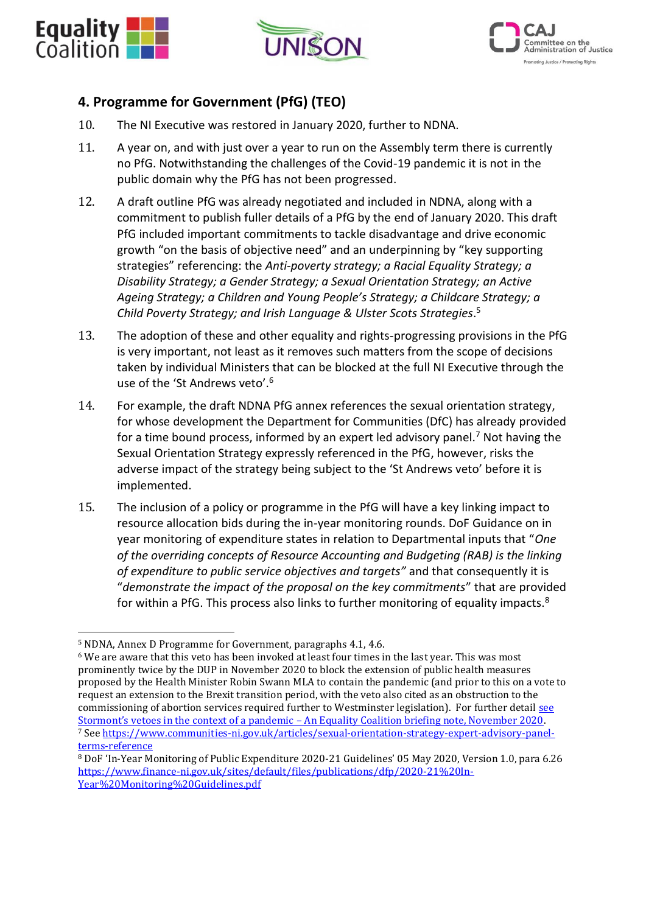





## **4. Programme for Government (PfG) (TEO)**

- 10. The NI Executive was restored in January 2020, further to NDNA.
- 11. A year on, and with just over a year to run on the Assembly term there is currently no PfG. Notwithstanding the challenges of the Covid-19 pandemic it is not in the public domain why the PfG has not been progressed.
- 12. A draft outline PfG was already negotiated and included in NDNA, along with a commitment to publish fuller details of a PfG by the end of January 2020. This draft PfG included important commitments to tackle disadvantage and drive economic growth "on the basis of objective need" and an underpinning by "key supporting strategies" referencing: the *Anti-poverty strategy; a Racial Equality Strategy; a Disability Strategy; a Gender Strategy; a Sexual Orientation Strategy; an Active Ageing Strategy; a Children and Young People's Strategy; a Childcare Strategy; a Child Poverty Strategy; and Irish Language & Ulster Scots Strategies*. 5
- 13. The adoption of these and other equality and rights-progressing provisions in the PfG is very important, not least as it removes such matters from the scope of decisions taken by individual Ministers that can be blocked at the full NI Executive through the use of the 'St Andrews veto'.<sup>6</sup>
- 14. For example, the draft NDNA PfG annex references the sexual orientation strategy, for whose development the Department for Communities (DfC) has already provided for a time bound process, informed by an expert led advisory panel.<sup>7</sup> Not having the Sexual Orientation Strategy expressly referenced in the PfG, however, risks the adverse impact of the strategy being subject to the 'St Andrews veto' before it is implemented.
- 15. The inclusion of a policy or programme in the PfG will have a key linking impact to resource allocation bids during the in-year monitoring rounds. DoF Guidance on in year monitoring of expenditure states in relation to Departmental inputs that "*One of the overriding concepts of Resource Accounting and Budgeting (RAB) is the linking of expenditure to public service objectives and targets"* and that consequently it is "*demonstrate the impact of the proposal on the key commitments*" that are provided for within a PfG. This process also links to further monitoring of equality impacts.<sup>8</sup>

<sup>5</sup> NDNA, Annex D Programme for Government, paragraphs 4.1, 4.6.

<sup>6</sup> We are aware that this veto has been invoked at least four times in the last year. This was most prominently twice by the DUP in November 2020 to block the extension of public health measures proposed by the Health Minister Robin Swann MLA to contain the pandemic (and prior to this on a vote to request an extension to the Brexit transition period, with the veto also cited as an obstruction to the commissioning of abortion services required further to Westminster legislation). For further detail see Stormont's vetoes in the context of a pandemic – [An Equality Coalition briefing note, November 2020.](https://caj.org.uk/2020/11/18/stormonts-vetoes-in-the-context-of-a-pandemic-an-equality-coalition-briefing-note/) <sup>7</sup> Se[e https://www.communities-ni.gov.uk/articles/sexual-orientation-strategy-expert-advisory-panel](https://www.communities-ni.gov.uk/articles/sexual-orientation-strategy-expert-advisory-panel-terms-reference)[terms-reference](https://www.communities-ni.gov.uk/articles/sexual-orientation-strategy-expert-advisory-panel-terms-reference)

<sup>8</sup> DoF 'In-Year Monitoring of Public Expenditure 2020-21 Guidelines' 05 May 2020, Version 1.0, para 6.26 [https://www.finance-ni.gov.uk/sites/default/files/publications/dfp/2020-21%20In-](https://www.finance-ni.gov.uk/sites/default/files/publications/dfp/2020-21%20In-Year%20Monitoring%20Guidelines.pdf)[Year%20Monitoring%20Guidelines.pdf](https://www.finance-ni.gov.uk/sites/default/files/publications/dfp/2020-21%20In-Year%20Monitoring%20Guidelines.pdf)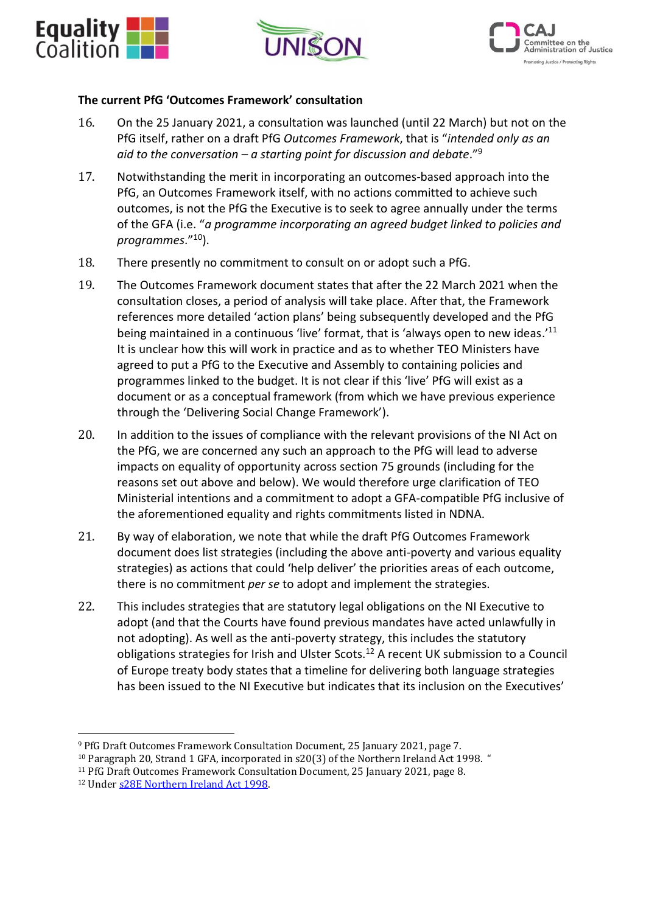





#### **The current PfG 'Outcomes Framework' consultation**

- 16. On the 25 January 2021, a consultation was launched (until 22 March) but not on the PfG itself, rather on a draft PfG *Outcomes Framework*, that is "*intended only as an aid to the conversation – a starting point for discussion and debate*."<sup>9</sup>
- 17. Notwithstanding the merit in incorporating an outcomes-based approach into the PfG, an Outcomes Framework itself, with no actions committed to achieve such outcomes, is not the PfG the Executive is to seek to agree annually under the terms of the GFA (i.e. "*a programme incorporating an agreed budget linked to policies and programmes*."<sup>10</sup>).
- 18. There presently no commitment to consult on or adopt such a PfG.
- 19. The Outcomes Framework document states that after the 22 March 2021 when the consultation closes, a period of analysis will take place. After that, the Framework references more detailed 'action plans' being subsequently developed and the PfG being maintained in a continuous 'live' format, that is 'always open to new ideas.'<sup>11</sup> It is unclear how this will work in practice and as to whether TEO Ministers have agreed to put a PfG to the Executive and Assembly to containing policies and programmes linked to the budget. It is not clear if this 'live' PfG will exist as a document or as a conceptual framework (from which we have previous experience through the 'Delivering Social Change Framework').
- 20. In addition to the issues of compliance with the relevant provisions of the NI Act on the PfG, we are concerned any such an approach to the PfG will lead to adverse impacts on equality of opportunity across section 75 grounds (including for the reasons set out above and below). We would therefore urge clarification of TEO Ministerial intentions and a commitment to adopt a GFA-compatible PfG inclusive of the aforementioned equality and rights commitments listed in NDNA.
- 21. By way of elaboration, we note that while the draft PfG Outcomes Framework document does list strategies (including the above anti-poverty and various equality strategies) as actions that could 'help deliver' the priorities areas of each outcome, there is no commitment *per se* to adopt and implement the strategies.
- 22. This includes strategies that are statutory legal obligations on the NI Executive to adopt (and that the Courts have found previous mandates have acted unlawfully in not adopting). As well as the anti-poverty strategy, this includes the statutory obligations strategies for Irish and Ulster Scots.<sup>12</sup> A recent UK submission to a Council of Europe treaty body states that a timeline for delivering both language strategies has been issued to the NI Executive but indicates that its inclusion on the Executives'

<sup>10</sup> Paragraph 20, Strand 1 GFA, incorporated in s20(3) of the Northern Ireland Act 1998. "

<sup>9</sup> PfG Draft Outcomes Framework Consultation Document, 25 January 2021, page 7.

<sup>11</sup> PfG Draft Outcomes Framework Consultation Document, 25 January 2021, page 8.

<sup>12</sup> Under [s28E Northern Ireland Act 1998.](https://www.legislation.gov.uk/ukpga/1998/47/section/28D)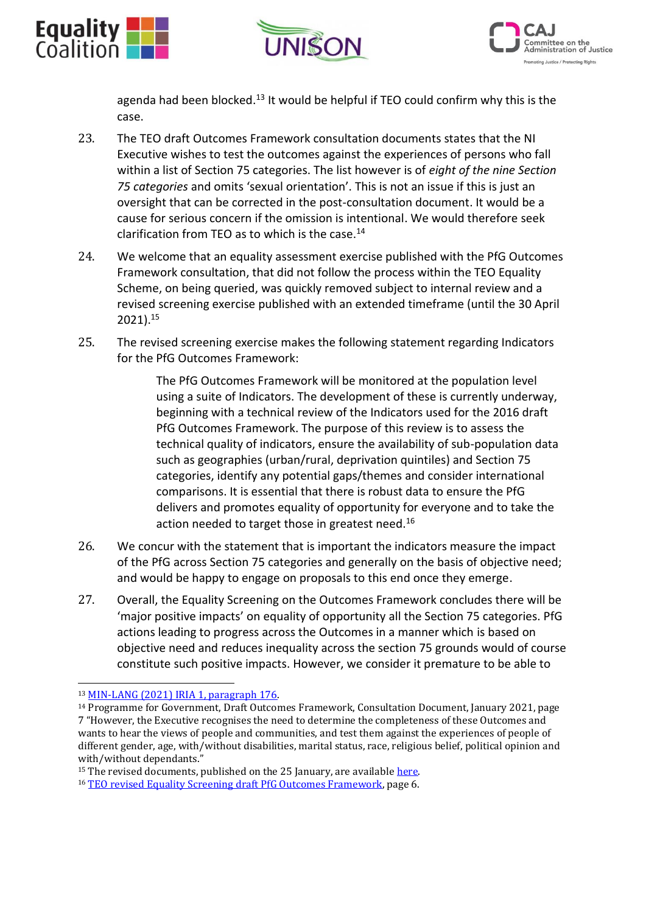





agenda had been blocked. $13$  It would be helpful if TEO could confirm why this is the case.

- 23. The TEO draft Outcomes Framework consultation documents states that the NI Executive wishes to test the outcomes against the experiences of persons who fall within a list of Section 75 categories. The list however is of *eight of the nine Section 75 categories* and omits 'sexual orientation'. This is not an issue if this is just an oversight that can be corrected in the post-consultation document. It would be a cause for serious concern if the omission is intentional. We would therefore seek clarification from TEO as to which is the case. 14
- 24. We welcome that an equality assessment exercise published with the PfG Outcomes Framework consultation, that did not follow the process within the TEO Equality Scheme, on being queried, was quickly removed subject to internal review and a revised screening exercise published with an extended timeframe (until the 30 April 2021).<sup>15</sup>
- 25. The revised screening exercise makes the following statement regarding Indicators for the PfG Outcomes Framework:

The PfG Outcomes Framework will be monitored at the population level using a suite of Indicators. The development of these is currently underway, beginning with a technical review of the Indicators used for the 2016 draft PfG Outcomes Framework. The purpose of this review is to assess the technical quality of indicators, ensure the availability of sub-population data such as geographies (urban/rural, deprivation quintiles) and Section 75 categories, identify any potential gaps/themes and consider international comparisons. It is essential that there is robust data to ensure the PfG delivers and promotes equality of opportunity for everyone and to take the action needed to target those in greatest need.<sup>16</sup>

- 26. We concur with the statement that is important the indicators measure the impact of the PfG across Section 75 categories and generally on the basis of objective need; and would be happy to engage on proposals to this end once they emerge.
- 27. Overall, the Equality Screening on the Outcomes Framework concludes there will be 'major positive impacts' on equality of opportunity all the Section 75 categories. PfG actions leading to progress across the Outcomes in a manner which is based on objective need and reduces inequality across the section 75 grounds would of course constitute such positive impacts. However, we consider it premature to be able to

<sup>13</sup> [MIN-LANG \(2021\) IRIA 1, paragraph 176.](https://rm.coe.int/ukiria5rev-en/1680a0eef6)

<sup>14</sup> Programme for Government, Draft Outcomes Framework, Consultation Document, January 2021, page 7 "However, the Executive recognises the need to determine the completeness of these Outcomes and wants to hear the views of people and communities, and test them against the experiences of people of different gender, age, with/without disabilities, marital status, race, religious belief, political opinion and with/without dependants."

<sup>&</sup>lt;sup>15</sup> The revised documents, published on the 25 January, are available here.

<sup>&</sup>lt;sup>16</sup> [TEO revised Equality Screening draft PfG Outcomes Framework,](https://www.northernireland.gov.uk/publications/programme-government-draft-outcomes-framework-equality-impact-assessment-documents) page 6.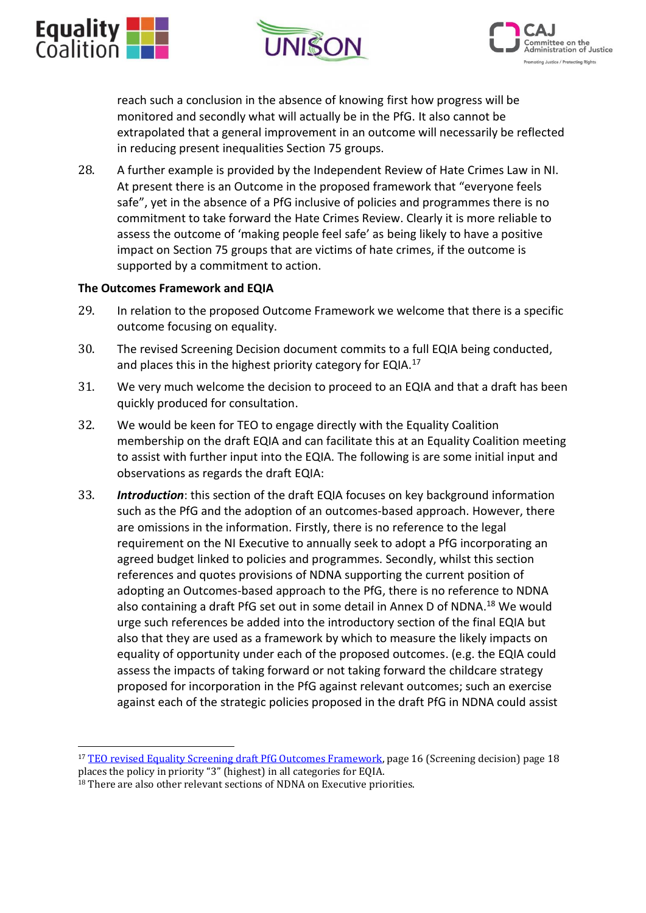





reach such a conclusion in the absence of knowing first how progress will be monitored and secondly what will actually be in the PfG. It also cannot be extrapolated that a general improvement in an outcome will necessarily be reflected in reducing present inequalities Section 75 groups.

28. A further example is provided by the Independent Review of Hate Crimes Law in NI. At present there is an Outcome in the proposed framework that "everyone feels safe", yet in the absence of a PfG inclusive of policies and programmes there is no commitment to take forward the Hate Crimes Review. Clearly it is more reliable to assess the outcome of 'making people feel safe' as being likely to have a positive impact on Section 75 groups that are victims of hate crimes, if the outcome is supported by a commitment to action.

#### **The Outcomes Framework and EQIA**

- 29. In relation to the proposed Outcome Framework we welcome that there is a specific outcome focusing on equality.
- 30. The revised Screening Decision document commits to a full EQIA being conducted, and places this in the highest priority category for EQIA.<sup>17</sup>
- 31. We very much welcome the decision to proceed to an EQIA and that a draft has been quickly produced for consultation.
- 32. We would be keen for TEO to engage directly with the Equality Coalition membership on the draft EQIA and can facilitate this at an Equality Coalition meeting to assist with further input into the EQIA. The following is are some initial input and observations as regards the draft EQIA:
- 33. *Introduction*: this section of the draft EQIA focuses on key background information such as the PfG and the adoption of an outcomes-based approach. However, there are omissions in the information. Firstly, there is no reference to the legal requirement on the NI Executive to annually seek to adopt a PfG incorporating an agreed budget linked to policies and programmes. Secondly, whilst this section references and quotes provisions of NDNA supporting the current position of adopting an Outcomes-based approach to the PfG, there is no reference to NDNA also containing a draft PfG set out in some detail in Annex D of NDNA.<sup>18</sup> We would urge such references be added into the introductory section of the final EQIA but also that they are used as a framework by which to measure the likely impacts on equality of opportunity under each of the proposed outcomes. (e.g. the EQIA could assess the impacts of taking forward or not taking forward the childcare strategy proposed for incorporation in the PfG against relevant outcomes; such an exercise against each of the strategic policies proposed in the draft PfG in NDNA could assist

<sup>&</sup>lt;sup>17</sup> [TEO revised Equality Screening draft PfG Outcomes Framework,](https://www.northernireland.gov.uk/publications/programme-government-draft-outcomes-framework-equality-impact-assessment-documents) page 16 (Screening decision) page 18 places the policy in priority "3" (highest) in all categories for EQIA.

<sup>&</sup>lt;sup>18</sup> There are also other relevant sections of NDNA on Executive priorities.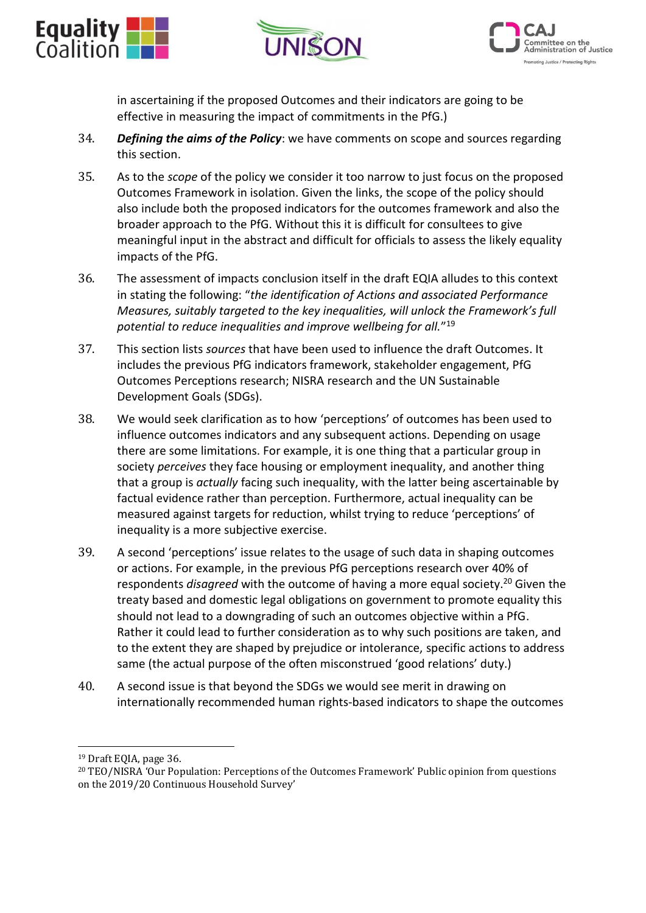





in ascertaining if the proposed Outcomes and their indicators are going to be effective in measuring the impact of commitments in the PfG.)

- 34. *Defining the aims of the Policy*: we have comments on scope and sources regarding this section.
- 35. As to the *scope* of the policy we consider it too narrow to just focus on the proposed Outcomes Framework in isolation. Given the links, the scope of the policy should also include both the proposed indicators for the outcomes framework and also the broader approach to the PfG. Without this it is difficult for consultees to give meaningful input in the abstract and difficult for officials to assess the likely equality impacts of the PfG.
- 36. The assessment of impacts conclusion itself in the draft EQIA alludes to this context in stating the following: "*the identification of Actions and associated Performance Measures, suitably targeted to the key inequalities, will unlock the Framework's full potential to reduce inequalities and improve wellbeing for all.*" 19
- 37. This section lists *sources* that have been used to influence the draft Outcomes. It includes the previous PfG indicators framework, stakeholder engagement, PfG Outcomes Perceptions research; NISRA research and the UN Sustainable Development Goals (SDGs).
- 38. We would seek clarification as to how 'perceptions' of outcomes has been used to influence outcomes indicators and any subsequent actions. Depending on usage there are some limitations. For example, it is one thing that a particular group in society *perceives* they face housing or employment inequality, and another thing that a group is *actually* facing such inequality, with the latter being ascertainable by factual evidence rather than perception. Furthermore, actual inequality can be measured against targets for reduction, whilst trying to reduce 'perceptions' of inequality is a more subjective exercise.
- 39. A second 'perceptions' issue relates to the usage of such data in shaping outcomes or actions. For example, in the previous PfG perceptions research over 40% of respondents *disagreed* with the outcome of having a more equal society.<sup>20</sup> Given the treaty based and domestic legal obligations on government to promote equality this should not lead to a downgrading of such an outcomes objective within a PfG. Rather it could lead to further consideration as to why such positions are taken, and to the extent they are shaped by prejudice or intolerance, specific actions to address same (the actual purpose of the often misconstrued 'good relations' duty.)
- 40. A second issue is that beyond the SDGs we would see merit in drawing on internationally recommended human rights-based indicators to shape the outcomes

<sup>19</sup> Draft EQIA, page 36.

<sup>20</sup> TEO/NISRA 'Our Population: Perceptions of the Outcomes Framework' Public opinion from questions on the 2019/20 Continuous Household Survey'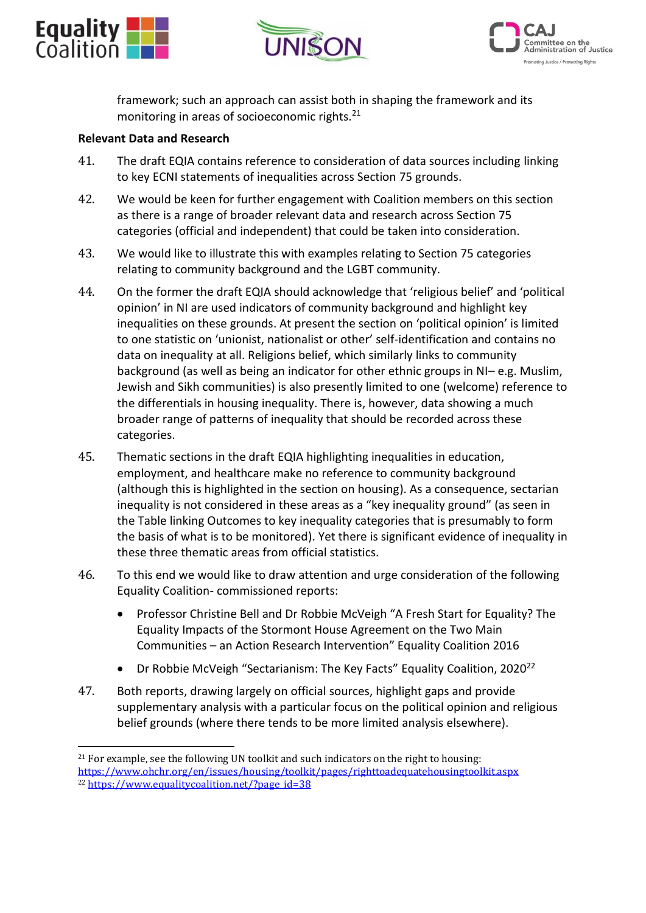





framework; such an approach can assist both in shaping the framework and its monitoring in areas of socioeconomic rights.<sup>21</sup>

#### **Relevant Data and Research**

- 41. The draft EQIA contains reference to consideration of data sources including linking to key ECNI statements of inequalities across Section 75 grounds.
- 42. We would be keen for further engagement with Coalition members on this section as there is a range of broader relevant data and research across Section 75 categories (official and independent) that could be taken into consideration.
- 43. We would like to illustrate this with examples relating to Section 75 categories relating to community background and the LGBT community.
- 44. On the former the draft EQIA should acknowledge that 'religious belief' and 'political opinion' in NI are used indicators of community background and highlight key inequalities on these grounds. At present the section on 'political opinion' is limited to one statistic on 'unionist, nationalist or other' self-identification and contains no data on inequality at all. Religions belief, which similarly links to community background (as well as being an indicator for other ethnic groups in NI– e.g. Muslim, Jewish and Sikh communities) is also presently limited to one (welcome) reference to the differentials in housing inequality. There is, however, data showing a much broader range of patterns of inequality that should be recorded across these categories.
- 45. Thematic sections in the draft EQIA highlighting inequalities in education, employment, and healthcare make no reference to community background (although this is highlighted in the section on housing). As a consequence, sectarian inequality is not considered in these areas as a "key inequality ground" (as seen in the Table linking Outcomes to key inequality categories that is presumably to form the basis of what is to be monitored). Yet there is significant evidence of inequality in these three thematic areas from official statistics.
- 46. To this end we would like to draw attention and urge consideration of the following Equality Coalition- commissioned reports:
	- Professor Christine Bell and Dr Robbie McVeigh "A Fresh Start for Equality? The Equality Impacts of the Stormont House Agreement on the Two Main Communities – an Action Research Intervention" Equality Coalition 2016
	- Dr Robbie McVeigh "Sectarianism: The Key Facts" Equality Coalition, 2020<sup>22</sup>
- 47. Both reports, drawing largely on official sources, highlight gaps and provide supplementary analysis with a particular focus on the political opinion and religious belief grounds (where there tends to be more limited analysis elsewhere).

 $21$  For example, see the following UN toolkit and such indicators on the right to housing: <https://www.ohchr.org/en/issues/housing/toolkit/pages/righttoadequatehousingtoolkit.aspx> <sup>22</sup> [https://www.equalitycoalition.net/?page\\_id=38](https://www.equalitycoalition.net/?page_id=38)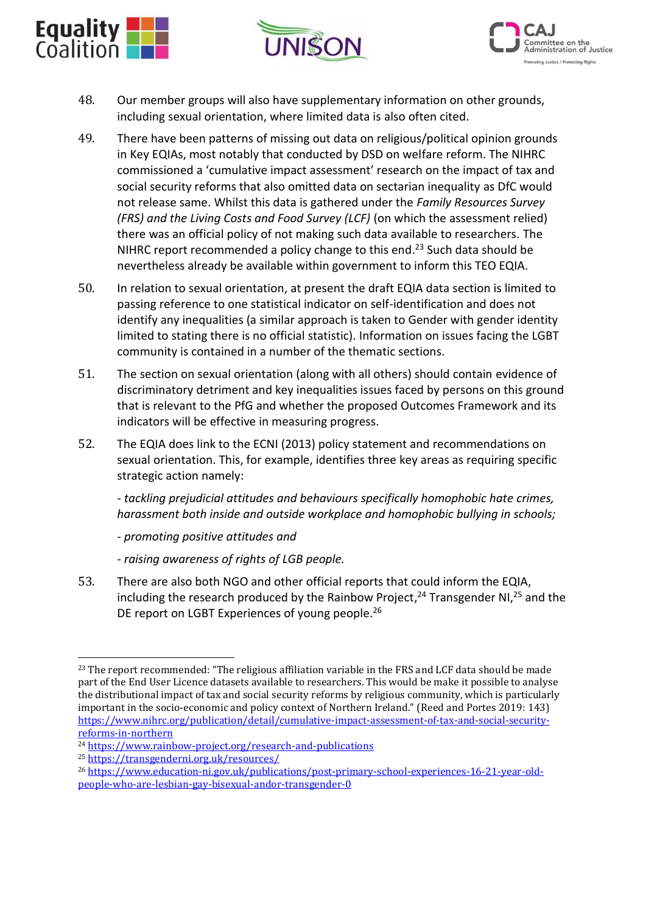





- 48. Our member groups will also have supplementary information on other grounds, including sexual orientation, where limited data is also often cited.
- 49. There have been patterns of missing out data on religious/political opinion grounds in Key EQIAs, most notably that conducted by DSD on welfare reform. The NIHRC commissioned a 'cumulative impact assessment' research on the impact of tax and social security reforms that also omitted data on sectarian inequality as DfC would not release same. Whilst this data is gathered under the *Family Resources Survey (FRS) and the Living Costs and Food Survey (LCF)* (on which the assessment relied) there was an official policy of not making such data available to researchers. The NIHRC report recommended a policy change to this end.<sup>23</sup> Such data should be nevertheless already be available within government to inform this TEO EQIA.
- 50. In relation to sexual orientation, at present the draft EQIA data section is limited to passing reference to one statistical indicator on self-identification and does not identify any inequalities (a similar approach is taken to Gender with gender identity limited to stating there is no official statistic). Information on issues facing the LGBT community is contained in a number of the thematic sections.
- 51. The section on sexual orientation (along with all others) should contain evidence of discriminatory detriment and key inequalities issues faced by persons on this ground that is relevant to the PfG and whether the proposed Outcomes Framework and its indicators will be effective in measuring progress.
- 52. The EQIA does link to the ECNI (2013) policy statement and recommendations on sexual orientation. This, for example, identifies three key areas as requiring specific strategic action namely:

*- tackling prejudicial attitudes and behaviours specifically homophobic hate crimes, harassment both inside and outside workplace and homophobic bullying in schools;*

*- promoting positive attitudes and*

- *- raising awareness of rights of LGB people.*
- 53. There are also both NGO and other official reports that could inform the EQIA, including the research produced by the Rainbow Project, $^{24}$  Transgender NI, $^{25}$  and the DE report on LGBT Experiences of young people.<sup>26</sup>

<sup>23</sup> The report recommended: "The religious affiliation variable in the FRS and LCF data should be made part of the End User Licence datasets available to researchers. This would be make it possible to analyse the distributional impact of tax and social security reforms by religious community, which is particularly important in the socio-economic and policy context of Northern Ireland." (Reed and Portes 2019: 143) [https://www.nihrc.org/publication/detail/cumulative-impact-assessment-of-tax-and-social-security](https://www.nihrc.org/publication/detail/cumulative-impact-assessment-of-tax-and-social-security-reforms-in-northern)[reforms-in-northern](https://www.nihrc.org/publication/detail/cumulative-impact-assessment-of-tax-and-social-security-reforms-in-northern)

<sup>24</sup> <https://www.rainbow-project.org/research-and-publications>

<sup>25</sup> <https://transgenderni.org.uk/resources/>

<sup>26</sup> [https://www.education-ni.gov.uk/publications/post-primary-school-experiences-16-21-year-old](https://www.education-ni.gov.uk/publications/post-primary-school-experiences-16-21-year-old-people-who-are-lesbian-gay-bisexual-andor-transgender-0)[people-who-are-lesbian-gay-bisexual-andor-transgender-0](https://www.education-ni.gov.uk/publications/post-primary-school-experiences-16-21-year-old-people-who-are-lesbian-gay-bisexual-andor-transgender-0)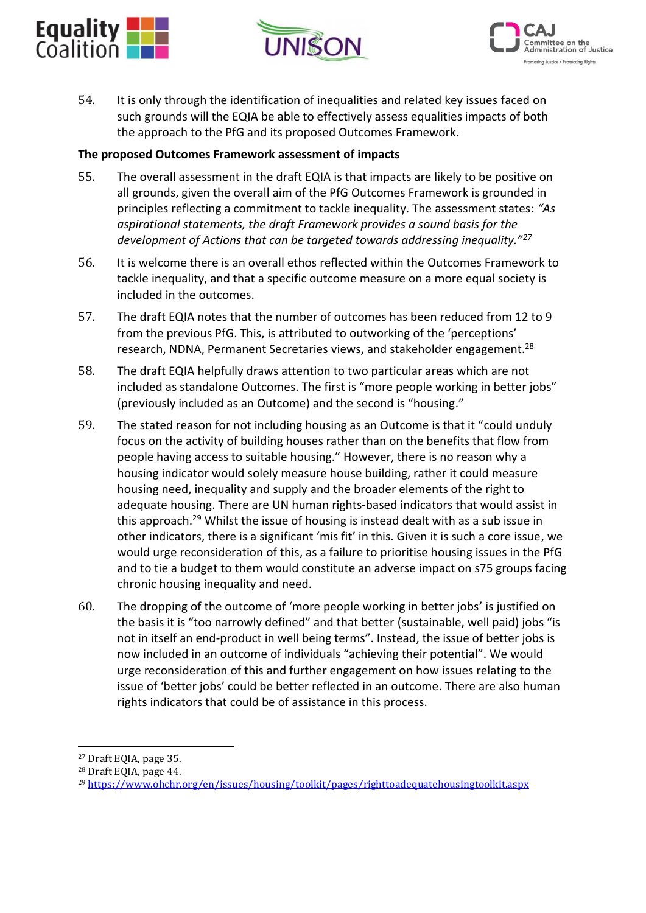





54. It is only through the identification of inequalities and related key issues faced on such grounds will the EQIA be able to effectively assess equalities impacts of both the approach to the PfG and its proposed Outcomes Framework.

#### **The proposed Outcomes Framework assessment of impacts**

- 55. The overall assessment in the draft EQIA is that impacts are likely to be positive on all grounds, given the overall aim of the PfG Outcomes Framework is grounded in principles reflecting a commitment to tackle inequality. The assessment states: *"As aspirational statements, the draft Framework provides a sound basis for the development of Actions that can be targeted towards addressing inequality."<sup>27</sup>*
- 56. It is welcome there is an overall ethos reflected within the Outcomes Framework to tackle inequality, and that a specific outcome measure on a more equal society is included in the outcomes.
- 57. The draft EQIA notes that the number of outcomes has been reduced from 12 to 9 from the previous PfG. This, is attributed to outworking of the 'perceptions' research, NDNA, Permanent Secretaries views, and stakeholder engagement.<sup>28</sup>
- 58. The draft EQIA helpfully draws attention to two particular areas which are not included as standalone Outcomes. The first is "more people working in better jobs" (previously included as an Outcome) and the second is "housing."
- 59. The stated reason for not including housing as an Outcome is that it "could unduly focus on the activity of building houses rather than on the benefits that flow from people having access to suitable housing." However, there is no reason why a housing indicator would solely measure house building, rather it could measure housing need, inequality and supply and the broader elements of the right to adequate housing. There are UN human rights-based indicators that would assist in this approach.<sup>29</sup> Whilst the issue of housing is instead dealt with as a sub issue in other indicators, there is a significant 'mis fit' in this. Given it is such a core issue, we would urge reconsideration of this, as a failure to prioritise housing issues in the PfG and to tie a budget to them would constitute an adverse impact on s75 groups facing chronic housing inequality and need.
- 60. The dropping of the outcome of 'more people working in better jobs' is justified on the basis it is "too narrowly defined" and that better (sustainable, well paid) jobs "is not in itself an end-product in well being terms". Instead, the issue of better jobs is now included in an outcome of individuals "achieving their potential". We would urge reconsideration of this and further engagement on how issues relating to the issue of 'better jobs' could be better reflected in an outcome. There are also human rights indicators that could be of assistance in this process.

<sup>27</sup> Draft EQIA, page 35.

<sup>28</sup> Draft EQIA, page 44.

<sup>29</sup> <https://www.ohchr.org/en/issues/housing/toolkit/pages/righttoadequatehousingtoolkit.aspx>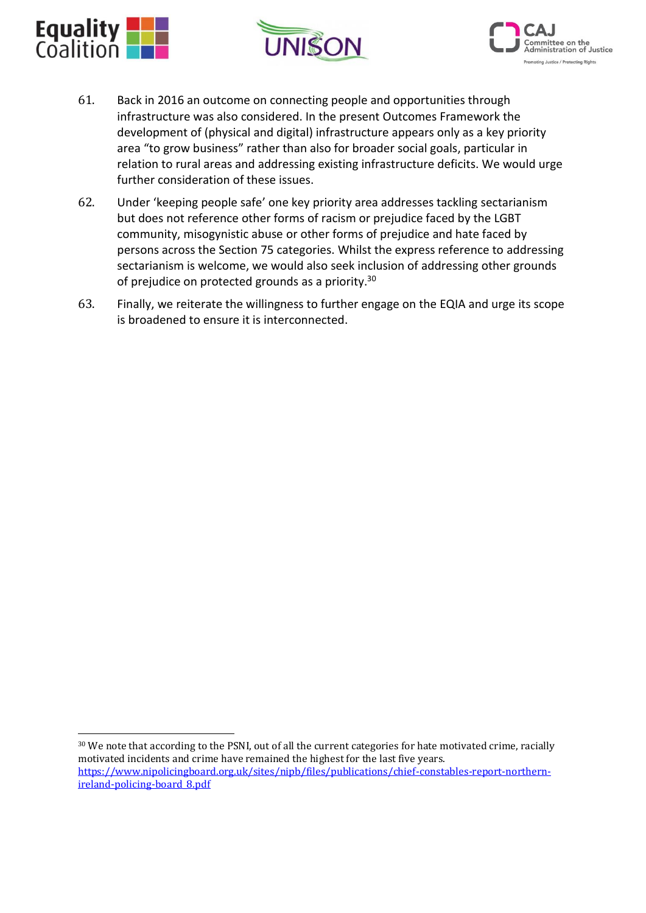





- 61. Back in 2016 an outcome on connecting people and opportunities through infrastructure was also considered. In the present Outcomes Framework the development of (physical and digital) infrastructure appears only as a key priority area "to grow business" rather than also for broader social goals, particular in relation to rural areas and addressing existing infrastructure deficits. We would urge further consideration of these issues.
- 62. Under 'keeping people safe' one key priority area addresses tackling sectarianism but does not reference other forms of racism or prejudice faced by the LGBT community, misogynistic abuse or other forms of prejudice and hate faced by persons across the Section 75 categories. Whilst the express reference to addressing sectarianism is welcome, we would also seek inclusion of addressing other grounds of prejudice on protected grounds as a priority.<sup>30</sup>
- 63. Finally, we reiterate the willingness to further engage on the EQIA and urge its scope is broadened to ensure it is interconnected.

<sup>&</sup>lt;sup>30</sup> We note that according to the PSNI, out of all the current categories for hate motivated crime, racially motivated incidents and crime have remained the highest for the last five years. [https://www.nipolicingboard.org.uk/sites/nipb/files/publications/chief-constables-report-northern](https://www.nipolicingboard.org.uk/sites/nipb/files/publications/chief-constables-report-northern-ireland-policing-board_8.pdf)[ireland-policing-board\\_8.pdf](https://www.nipolicingboard.org.uk/sites/nipb/files/publications/chief-constables-report-northern-ireland-policing-board_8.pdf)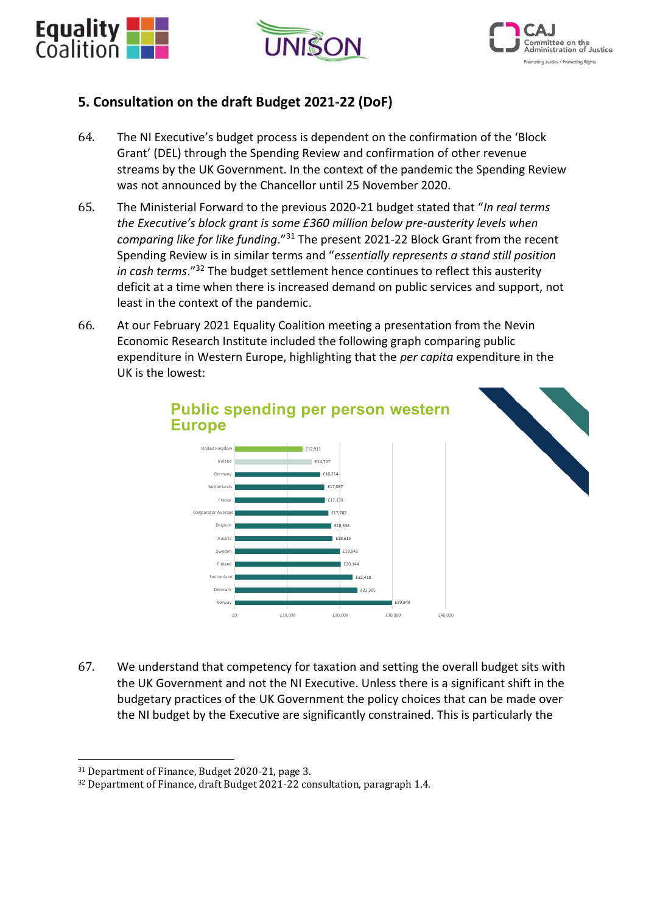





## **5. Consultation on the draft Budget 2021-22 (DoF)**

- 64. The NI Executive's budget process is dependent on the confirmation of the 'Block Grant' (DEL) through the Spending Review and confirmation of other revenue streams by the UK Government. In the context of the pandemic the Spending Review was not announced by the Chancellor until 25 November 2020.
- 65. The Ministerial Forward to the previous 2020-21 budget stated that "*In real terms the Executive's block grant is some £360 million below pre-austerity levels when comparing like for like funding*."<sup>31</sup> The present 2021-22 Block Grant from the recent Spending Review is in similar terms and "*essentially represents a stand still position in cash terms*."<sup>32</sup> The budget settlement hence continues to reflect this austerity deficit at a time when there is increased demand on public services and support, not least in the context of the pandemic.
- 66. At our February 2021 Equality Coalition meeting a presentation from the Nevin Economic Research Institute included the following graph comparing public expenditure in Western Europe, highlighting that the *per capita* expenditure in the UK is the lowest:



67. We understand that competency for taxation and setting the overall budget sits with the UK Government and not the NI Executive. Unless there is a significant shift in the budgetary practices of the UK Government the policy choices that can be made over the NI budget by the Executive are significantly constrained. This is particularly the

<sup>31</sup> Department of Finance, Budget 2020-21, page 3.

<sup>32</sup> Department of Finance, draft Budget 2021-22 consultation, paragraph 1.4.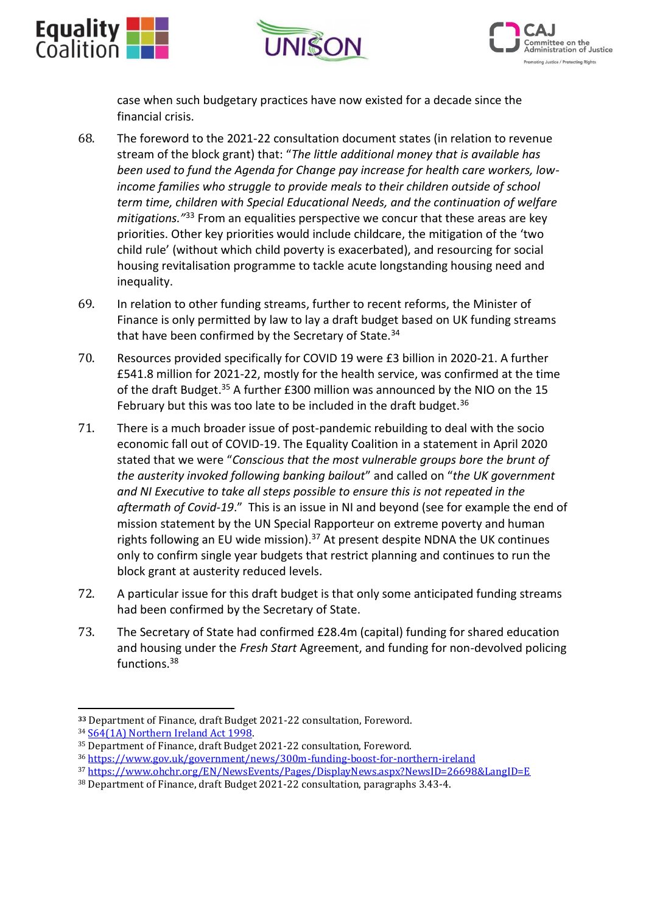





case when such budgetary practices have now existed for a decade since the financial crisis.

- 68. The foreword to the 2021-22 consultation document states (in relation to revenue stream of the block grant) that: "*The little additional money that is available has been used to fund the Agenda for Change pay increase for health care workers, lowincome families who struggle to provide meals to their children outside of school term time, children with Special Educational Needs, and the continuation of welfare mitigations."*<sup>33</sup> From an equalities perspective we concur that these areas are key priorities. Other key priorities would include childcare, the mitigation of the 'two child rule' (without which child poverty is exacerbated), and resourcing for social housing revitalisation programme to tackle acute longstanding housing need and inequality.
- 69. In relation to other funding streams, further to recent reforms, the Minister of Finance is only permitted by law to lay a draft budget based on UK funding streams that have been confirmed by the Secretary of State.<sup>34</sup>
- 70. Resources provided specifically for COVID 19 were £3 billion in 2020-21. A further £541.8 million for 2021-22, mostly for the health service, was confirmed at the time of the draft Budget.<sup>35</sup> A further £300 million was announced by the NIO on the 15 February but this was too late to be included in the draft budget. $36$
- 71. There is a much broader issue of post-pandemic rebuilding to deal with the socio economic fall out of COVID-19. The Equality Coalition in a statement in April 2020 stated that we were "*Conscious that the most vulnerable groups bore the brunt of the austerity invoked following banking bailout*" and called on "*the UK government and NI Executive to take all steps possible to ensure this is not repeated in the aftermath of Covid-19*." This is an issue in NI and beyond (see for example the end of mission statement by the UN Special Rapporteur on extreme poverty and human rights following an EU wide mission).<sup>37</sup> At present despite NDNA the UK continues only to confirm single year budgets that restrict planning and continues to run the block grant at austerity reduced levels.
- 72. A particular issue for this draft budget is that only some anticipated funding streams had been confirmed by the Secretary of State.
- 73. The Secretary of State had confirmed £28.4m (capital) funding for shared education and housing under the *Fresh Start* Agreement, and funding for non-devolved policing functions.<sup>38</sup>

**<sup>33</sup>** Department of Finance, draft Budget 2021-22 consultation, Foreword.

<sup>34</sup> [S64\(1A\) Northern Ireland Act 1998.](https://www.legislation.gov.uk/ukpga/1998/47/section/64) 

<sup>35</sup> Department of Finance, draft Budget 2021-22 consultation, Foreword.

<sup>36</sup> <https://www.gov.uk/government/news/300m-funding-boost-for-northern-ireland>

<sup>37</sup> <https://www.ohchr.org/EN/NewsEvents/Pages/DisplayNews.aspx?NewsID=26698&LangID=E>

<sup>38</sup> Department of Finance, draft Budget 2021-22 consultation, paragraphs 3.43-4.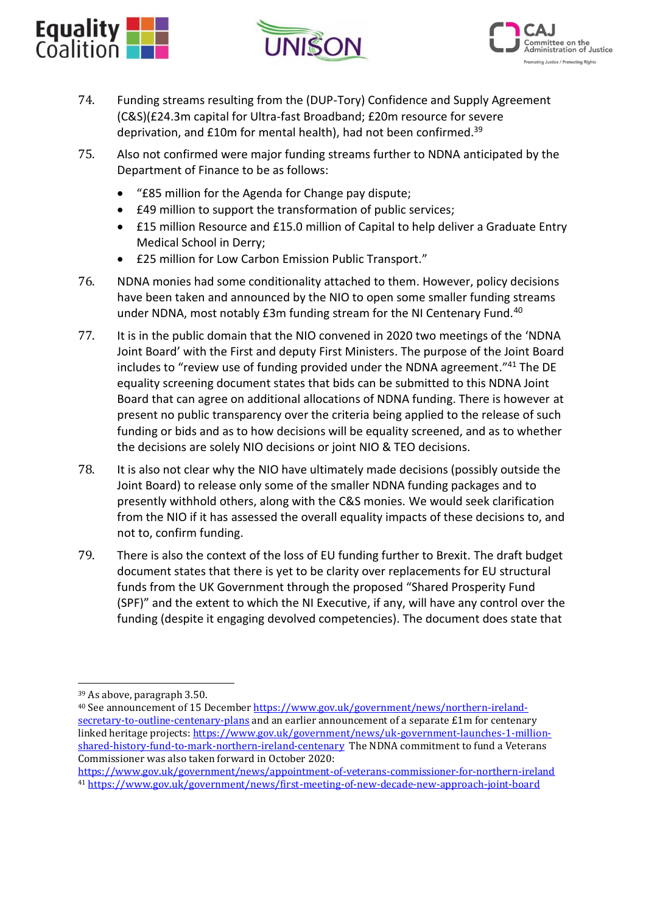





- 74. Funding streams resulting from the (DUP-Tory) Confidence and Supply Agreement (C&S)(£24.3m capital for Ultra-fast Broadband; £20m resource for severe deprivation, and £10m for mental health), had not been confirmed.<sup>39</sup>
- 75. Also not confirmed were major funding streams further to NDNA anticipated by the Department of Finance to be as follows:
	- "£85 million for the Agenda for Change pay dispute;
	- £49 million to support the transformation of public services;
	- £15 million Resource and £15.0 million of Capital to help deliver a Graduate Entry Medical School in Derry;
	- £25 million for Low Carbon Emission Public Transport."
- 76. NDNA monies had some conditionality attached to them. However, policy decisions have been taken and announced by the NIO to open some smaller funding streams under NDNA, most notably £3m funding stream for the NI Centenary Fund.<sup>40</sup>
- 77. It is in the public domain that the NIO convened in 2020 two meetings of the 'NDNA Joint Board' with the First and deputy First Ministers. The purpose of the Joint Board includes to "review use of funding provided under the NDNA agreement." <sup>41</sup> The DE equality screening document states that bids can be submitted to this NDNA Joint Board that can agree on additional allocations of NDNA funding. There is however at present no public transparency over the criteria being applied to the release of such funding or bids and as to how decisions will be equality screened, and as to whether the decisions are solely NIO decisions or joint NIO & TEO decisions.
- 78. It is also not clear why the NIO have ultimately made decisions (possibly outside the Joint Board) to release only some of the smaller NDNA funding packages and to presently withhold others, along with the C&S monies. We would seek clarification from the NIO if it has assessed the overall equality impacts of these decisions to, and not to, confirm funding.
- 79. There is also the context of the loss of EU funding further to Brexit. The draft budget document states that there is yet to be clarity over replacements for EU structural funds from the UK Government through the proposed "Shared Prosperity Fund (SPF)" and the extent to which the NI Executive, if any, will have any control over the funding (despite it engaging devolved competencies). The document does state that

<sup>39</sup> As above, paragraph 3.50.

<sup>40</sup> See announcement of 15 December [https://www.gov.uk/government/news/northern-ireland](https://www.gov.uk/government/news/northern-ireland-secretary-to-outline-centenary-plans)[secretary-to-outline-centenary-plans](https://www.gov.uk/government/news/northern-ireland-secretary-to-outline-centenary-plans) and an earlier announcement of a separate £1m for centenary linked heritage projects: [https://www.gov.uk/government/news/uk-government-launches-1-million](https://www.gov.uk/government/news/uk-government-launches-1-million-shared-history-fund-to-mark-northern-ireland-centenary)[shared-history-fund-to-mark-northern-ireland-centenary](https://www.gov.uk/government/news/uk-government-launches-1-million-shared-history-fund-to-mark-northern-ireland-centenary) The NDNA commitment to fund a Veterans Commissioner was also taken forward in October 2020:

<https://www.gov.uk/government/news/appointment-of-veterans-commissioner-for-northern-ireland> <sup>41</sup> <https://www.gov.uk/government/news/first-meeting-of-new-decade-new-approach-joint-board>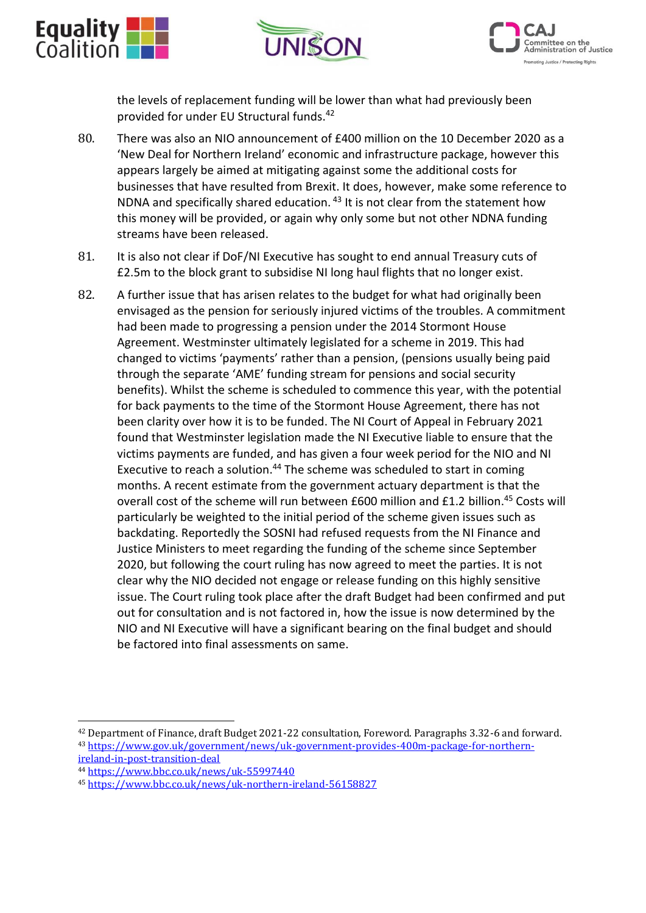





the levels of replacement funding will be lower than what had previously been provided for under EU Structural funds.<sup>42</sup>

- 80. There was also an NIO announcement of £400 million on the 10 December 2020 as a 'New Deal for Northern Ireland' economic and infrastructure package, however this appears largely be aimed at mitigating against some the additional costs for businesses that have resulted from Brexit. It does, however, make some reference to NDNA and specifically shared education. <sup>43</sup> It is not clear from the statement how this money will be provided, or again why only some but not other NDNA funding streams have been released.
- 81. It is also not clear if DoF/NI Executive has sought to end annual Treasury cuts of £2.5m to the block grant to subsidise NI long haul flights that no longer exist.
- 82. A further issue that has arisen relates to the budget for what had originally been envisaged as the pension for seriously injured victims of the troubles. A commitment had been made to progressing a pension under the 2014 Stormont House Agreement. Westminster ultimately legislated for a scheme in 2019. This had changed to victims 'payments' rather than a pension, (pensions usually being paid through the separate 'AME' funding stream for pensions and social security benefits). Whilst the scheme is scheduled to commence this year, with the potential for back payments to the time of the Stormont House Agreement, there has not been clarity over how it is to be funded. The NI Court of Appeal in February 2021 found that Westminster legislation made the NI Executive liable to ensure that the victims payments are funded, and has given a four week period for the NIO and NI Executive to reach a solution.<sup>44</sup> The scheme was scheduled to start in coming months. A recent estimate from the government actuary department is that the overall cost of the scheme will run between £600 million and £1.2 billion. <sup>45</sup> Costs will particularly be weighted to the initial period of the scheme given issues such as backdating. Reportedly the SOSNI had refused requests from the NI Finance and Justice Ministers to meet regarding the funding of the scheme since September 2020, but following the court ruling has now agreed to meet the parties. It is not clear why the NIO decided not engage or release funding on this highly sensitive issue. The Court ruling took place after the draft Budget had been confirmed and put out for consultation and is not factored in, how the issue is now determined by the NIO and NI Executive will have a significant bearing on the final budget and should be factored into final assessments on same.

<sup>42</sup> Department of Finance, draft Budget 2021-22 consultation, Foreword. Paragraphs 3.32-6 and forward. <sup>43</sup> [https://www.gov.uk/government/news/uk-government-provides-400m-package-for-northern](https://www.gov.uk/government/news/uk-government-provides-400m-package-for-northern-ireland-in-post-transition-deal)[ireland-in-post-transition-deal](https://www.gov.uk/government/news/uk-government-provides-400m-package-for-northern-ireland-in-post-transition-deal)

<sup>44</sup> <https://www.bbc.co.uk/news/uk-55997440>

<sup>45</sup> <https://www.bbc.co.uk/news/uk-northern-ireland-56158827>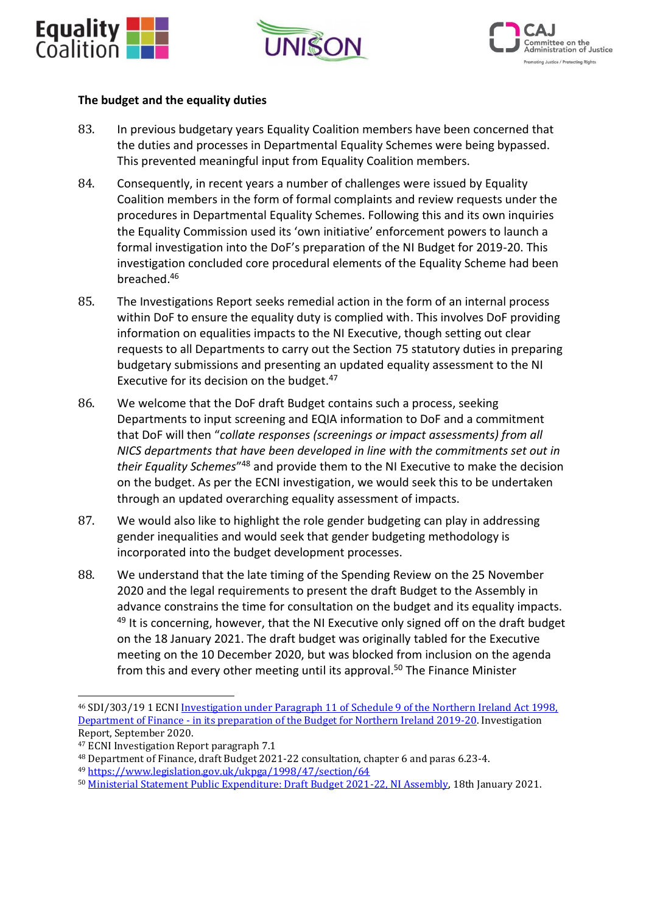





#### **The budget and the equality duties**

- 83. In previous budgetary years Equality Coalition members have been concerned that the duties and processes in Departmental Equality Schemes were being bypassed. This prevented meaningful input from Equality Coalition members.
- 84. Consequently, in recent years a number of challenges were issued by Equality Coalition members in the form of formal complaints and review requests under the procedures in Departmental Equality Schemes. Following this and its own inquiries the Equality Commission used its 'own initiative' enforcement powers to launch a formal investigation into the DoF's preparation of the NI Budget for 2019-20. This investigation concluded core procedural elements of the Equality Scheme had been breached.<sup>46</sup>
- 85. The Investigations Report seeks remedial action in the form of an internal process within DoF to ensure the equality duty is complied with. This involves DoF providing information on equalities impacts to the NI Executive, though setting out clear requests to all Departments to carry out the Section 75 statutory duties in preparing budgetary submissions and presenting an updated equality assessment to the NI Executive for its decision on the budget.<sup>47</sup>
- 86. We welcome that the DoF draft Budget contains such a process, seeking Departments to input screening and EQIA information to DoF and a commitment that DoF will then "*collate responses (screenings or impact assessments) from all NICS departments that have been developed in line with the commitments set out in their Equality Schemes*" <sup>48</sup> and provide them to the NI Executive to make the decision on the budget. As per the ECNI investigation, we would seek this to be undertaken through an updated overarching equality assessment of impacts.
- 87. We would also like to highlight the role gender budgeting can play in addressing gender inequalities and would seek that gender budgeting methodology is incorporated into the budget development processes.
- 88. We understand that the late timing of the Spending Review on the 25 November 2020 and the legal requirements to present the draft Budget to the Assembly in advance constrains the time for consultation on the budget and its equality impacts.  $49$  It is concerning, however, that the NI Executive only signed off on the draft budget on the 18 January 2021. The draft budget was originally tabled for the Executive meeting on the 10 December 2020, but was blocked from inclusion on the agenda from this and every other meeting until its approval. <sup>50</sup> The Finance Minister

<sup>46</sup> SDI/303/19 1 ECNI [Investigation under Paragraph 11 of Schedule 9 of the Northern Ireland Act 1998,](https://www.equalityni.org/Footer-Links/News/Delivering-Equality/Equality-Commission-investigation-report-into-Depa)  Department of Finance - [in its preparation of the Budget for Northern Ireland 2019-20.](https://www.equalityni.org/Footer-Links/News/Delivering-Equality/Equality-Commission-investigation-report-into-Depa) Investigation Report, September 2020.

<sup>47</sup> ECNI Investigation Report paragraph 7.1

<sup>48</sup> Department of Finance, draft Budget 2021-22 consultation, chapter 6 and paras 6.23-4.

<sup>49</sup> <https://www.legislation.gov.uk/ukpga/1998/47/section/64>

<sup>50</sup> [Ministerial Statement Public Expenditure: Draft Budget 2021-22, NI Assembly,](https://www.theyworkforyou.com/ni/?id=2021-01-18.12.1#g12.3) 18th January 2021.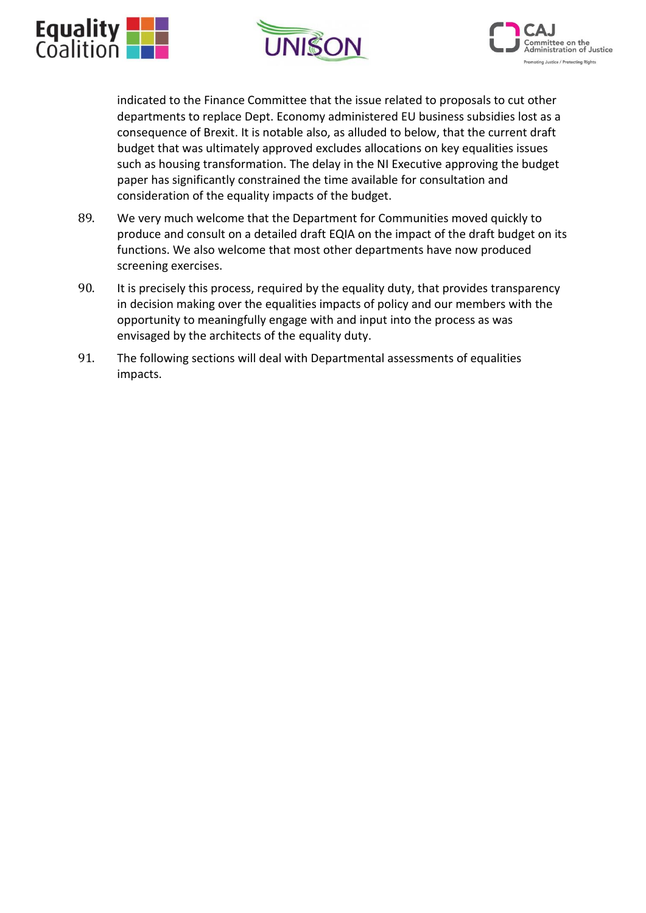





indicated to the Finance Committee that the issue related to proposals to cut other departments to replace Dept. Economy administered EU business subsidies lost as a consequence of Brexit. It is notable also, as alluded to below, that the current draft budget that was ultimately approved excludes allocations on key equalities issues such as housing transformation. The delay in the NI Executive approving the budget paper has significantly constrained the time available for consultation and consideration of the equality impacts of the budget.

- 89. We very much welcome that the Department for Communities moved quickly to produce and consult on a detailed draft EQIA on the impact of the draft budget on its functions. We also welcome that most other departments have now produced screening exercises.
- 90. It is precisely this process, required by the equality duty, that provides transparency in decision making over the equalities impacts of policy and our members with the opportunity to meaningfully engage with and input into the process as was envisaged by the architects of the equality duty.
- 91. The following sections will deal with Departmental assessments of equalities impacts.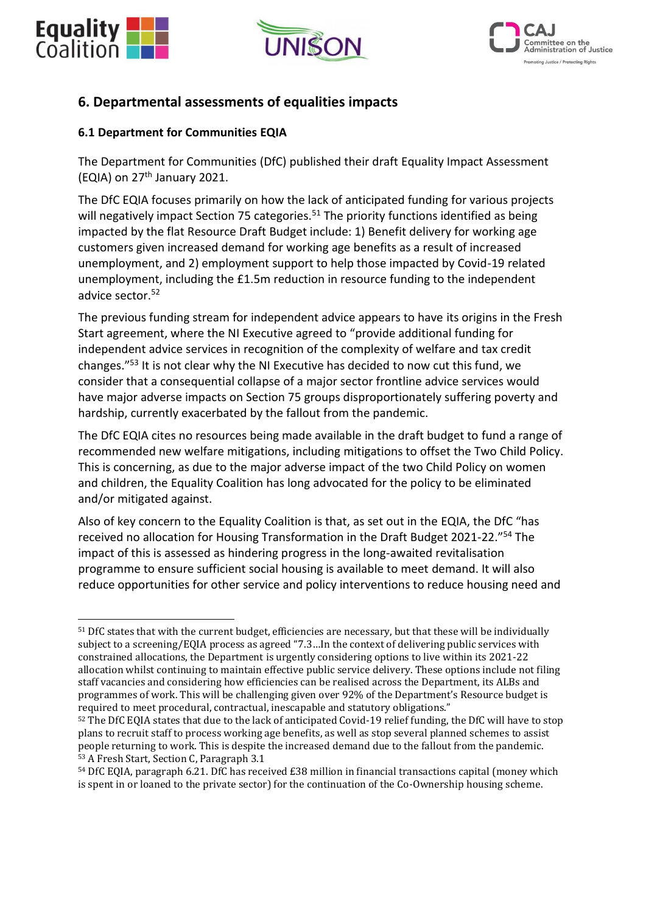





## **6. Departmental assessments of equalities impacts**

## **6.1 Department for Communities EQIA**

The Department for Communities (DfC) published their draft Equality Impact Assessment (EQIA) on 27th January 2021.

The DfC EQIA focuses primarily on how the lack of anticipated funding for various projects will negatively impact Section 75 categories.<sup>51</sup> The priority functions identified as being impacted by the flat Resource Draft Budget include: 1) Benefit delivery for working age customers given increased demand for working age benefits as a result of increased unemployment, and 2) employment support to help those impacted by Covid-19 related unemployment, including the £1.5m reduction in resource funding to the independent advice sector.<sup>52</sup>

The previous funding stream for independent advice appears to have its origins in the Fresh Start agreement, where the NI Executive agreed to "provide additional funding for independent advice services in recognition of the complexity of welfare and tax credit changes."<sup>53</sup> It is not clear why the NI Executive has decided to now cut this fund, we consider that a consequential collapse of a major sector frontline advice services would have major adverse impacts on Section 75 groups disproportionately suffering poverty and hardship, currently exacerbated by the fallout from the pandemic.

The DfC EQIA cites no resources being made available in the draft budget to fund a range of recommended new welfare mitigations, including mitigations to offset the Two Child Policy. This is concerning, as due to the major adverse impact of the two Child Policy on women and children, the Equality Coalition has long advocated for the policy to be eliminated and/or mitigated against.

Also of key concern to the Equality Coalition is that, as set out in the EQIA, the DfC "has received no allocation for Housing Transformation in the Draft Budget 2021-22."<sup>54</sup> The impact of this is assessed as hindering progress in the long-awaited revitalisation programme to ensure sufficient social housing is available to meet demand. It will also reduce opportunities for other service and policy interventions to reduce housing need and

<sup>51</sup> DfC states that with the current budget, efficiencies are necessary, but that these will be individually subject to a screening/EQIA process as agreed "7.3…In the context of delivering public services with constrained allocations, the Department is urgently considering options to live within its 2021-22 allocation whilst continuing to maintain effective public service delivery. These options include not filing staff vacancies and considering how efficiencies can be realised across the Department, its ALBs and programmes of work. This will be challenging given over 92% of the Department's Resource budget is required to meet procedural, contractual, inescapable and statutory obligations."

<sup>52</sup> The DfC EQIA states that due to the lack of anticipated Covid-19 relief funding, the DfC will have to stop plans to recruit staff to process working age benefits, as well as stop several planned schemes to assist people returning to work. This is despite the increased demand due to the fallout from the pandemic. <sup>53</sup> A Fresh Start, Section C, Paragraph 3.1

<sup>54</sup> DfC EQIA, paragraph 6.21. DfC has received £38 million in financial transactions capital (money which is spent in or loaned to the private sector) for the continuation of the Co-Ownership housing scheme.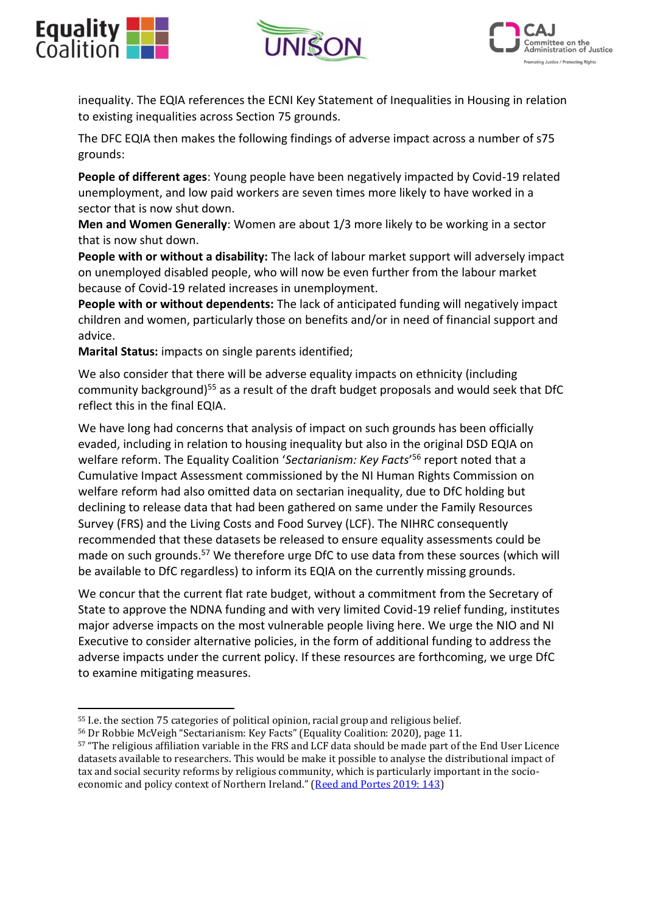





inequality. The EQIA references the ECNI Key Statement of Inequalities in Housing in relation to existing inequalities across Section 75 grounds.

The DFC EQIA then makes the following findings of adverse impact across a number of s75 grounds:

**People of different ages**: Young people have been negatively impacted by Covid-19 related unemployment, and low paid workers are seven times more likely to have worked in a sector that is now shut down.

**Men and Women Generally**: Women are about 1/3 more likely to be working in a sector that is now shut down.

**People with or without a disability:** The lack of labour market support will adversely impact on unemployed disabled people, who will now be even further from the labour market because of Covid-19 related increases in unemployment.

**People with or without dependents:** The lack of anticipated funding will negatively impact children and women, particularly those on benefits and/or in need of financial support and advice.

**Marital Status:** impacts on single parents identified;

We also consider that there will be adverse equality impacts on ethnicity (including community background)<sup>55</sup> as a result of the draft budget proposals and would seek that DfC reflect this in the final EQIA.

We have long had concerns that analysis of impact on such grounds has been officially evaded, including in relation to housing inequality but also in the original DSD EQIA on welfare reform. The Equality Coalition '*Sectarianism: Key Facts*' <sup>56</sup> report noted that a Cumulative Impact Assessment commissioned by the NI Human Rights Commission on welfare reform had also omitted data on sectarian inequality, due to DfC holding but declining to release data that had been gathered on same under the Family Resources Survey (FRS) and the Living Costs and Food Survey (LCF). The NIHRC consequently recommended that these datasets be released to ensure equality assessments could be made on such grounds.<sup>57</sup> We therefore urge DfC to use data from these sources (which will be available to DfC regardless) to inform its EQIA on the currently missing grounds.

We concur that the current flat rate budget, without a commitment from the Secretary of State to approve the NDNA funding and with very limited Covid-19 relief funding, institutes major adverse impacts on the most vulnerable people living here. We urge the NIO and NI Executive to consider alternative policies, in the form of additional funding to address the adverse impacts under the current policy. If these resources are forthcoming, we urge DfC to examine mitigating measures.

<sup>55</sup> I.e. the section 75 categories of political opinion, racial group and religious belief.

<sup>56</sup> Dr Robbie McVeigh "Sectarianism: Key Facts" (Equality Coalition: 2020), page 11.

<sup>57</sup> "The religious affiliation variable in the FRS and LCF data should be made part of the End User Licence datasets available to researchers. This would be make it possible to analyse the distributional impact of tax and social security reforms by religious community, which is particularly important in the socioeconomic and policy context of Northern Ireland." ([Reed and Portes 2019: 143\)](https://www.nihrc.org/publication/detail/cumulative-impact-assessment-of-tax-and-social-security-reforms-in-northern)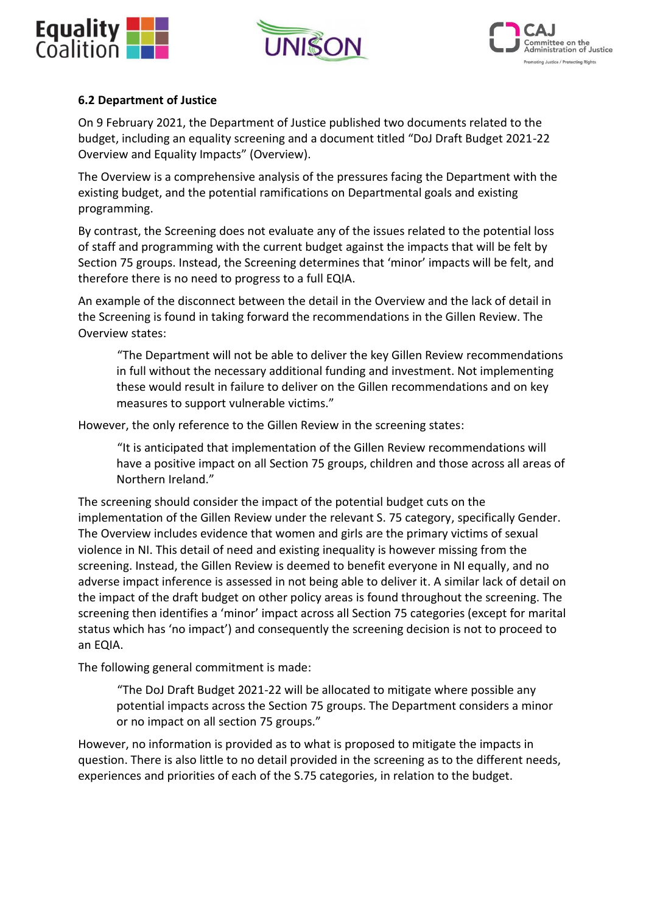





## **6.2 Department of Justice**

On 9 February 2021, the Department of Justice published two documents related to the budget, including an equality screening and a document titled "DoJ Draft Budget 2021-22 Overview and Equality Impacts" (Overview).

The Overview is a comprehensive analysis of the pressures facing the Department with the existing budget, and the potential ramifications on Departmental goals and existing programming.

By contrast, the Screening does not evaluate any of the issues related to the potential loss of staff and programming with the current budget against the impacts that will be felt by Section 75 groups. Instead, the Screening determines that 'minor' impacts will be felt, and therefore there is no need to progress to a full EQIA.

An example of the disconnect between the detail in the Overview and the lack of detail in the Screening is found in taking forward the recommendations in the Gillen Review. The Overview states:

"The Department will not be able to deliver the key Gillen Review recommendations in full without the necessary additional funding and investment. Not implementing these would result in failure to deliver on the Gillen recommendations and on key measures to support vulnerable victims."

However, the only reference to the Gillen Review in the screening states:

"It is anticipated that implementation of the Gillen Review recommendations will have a positive impact on all Section 75 groups, children and those across all areas of Northern Ireland."

The screening should consider the impact of the potential budget cuts on the implementation of the Gillen Review under the relevant S. 75 category, specifically Gender. The Overview includes evidence that women and girls are the primary victims of sexual violence in NI. This detail of need and existing inequality is however missing from the screening. Instead, the Gillen Review is deemed to benefit everyone in NI equally, and no adverse impact inference is assessed in not being able to deliver it. A similar lack of detail on the impact of the draft budget on other policy areas is found throughout the screening. The screening then identifies a 'minor' impact across all Section 75 categories (except for marital status which has 'no impact') and consequently the screening decision is not to proceed to an EQIA.

The following general commitment is made:

"The DoJ Draft Budget 2021-22 will be allocated to mitigate where possible any potential impacts across the Section 75 groups. The Department considers a minor or no impact on all section 75 groups."

However, no information is provided as to what is proposed to mitigate the impacts in question. There is also little to no detail provided in the screening as to the different needs, experiences and priorities of each of the S.75 categories, in relation to the budget.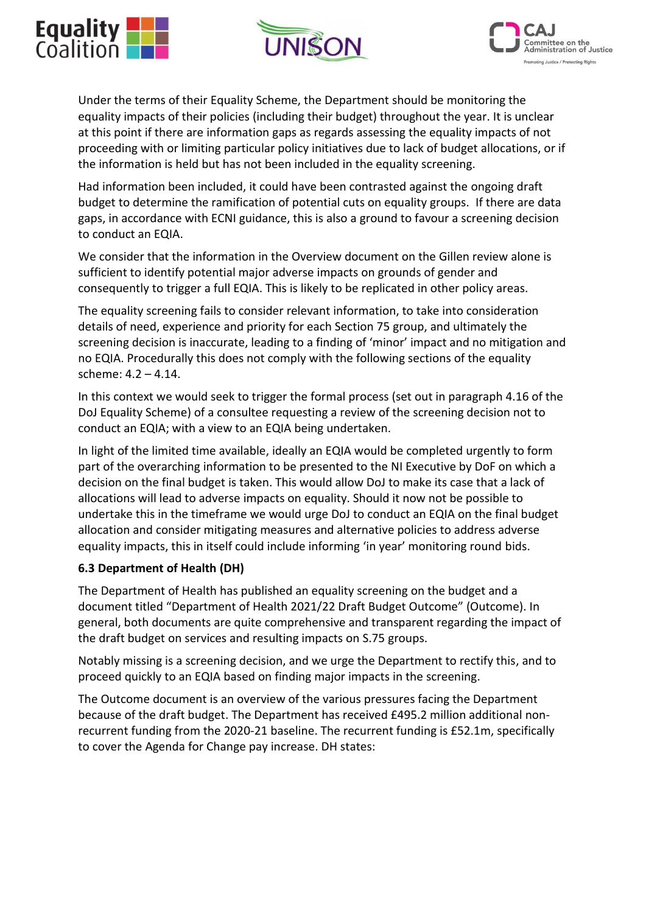





Under the terms of their Equality Scheme, the Department should be monitoring the equality impacts of their policies (including their budget) throughout the year. It is unclear at this point if there are information gaps as regards assessing the equality impacts of not proceeding with or limiting particular policy initiatives due to lack of budget allocations, or if the information is held but has not been included in the equality screening.

Had information been included, it could have been contrasted against the ongoing draft budget to determine the ramification of potential cuts on equality groups. If there are data gaps, in accordance with ECNI guidance, this is also a ground to favour a screening decision to conduct an EQIA.

We consider that the information in the Overview document on the Gillen review alone is sufficient to identify potential major adverse impacts on grounds of gender and consequently to trigger a full EQIA. This is likely to be replicated in other policy areas.

The equality screening fails to consider relevant information, to take into consideration details of need, experience and priority for each Section 75 group, and ultimately the screening decision is inaccurate, leading to a finding of 'minor' impact and no mitigation and no EQIA. Procedurally this does not comply with the following sections of the equality scheme: 4.2 – 4.14.

In this context we would seek to trigger the formal process (set out in paragraph 4.16 of the DoJ Equality Scheme) of a consultee requesting a review of the screening decision not to conduct an EQIA; with a view to an EQIA being undertaken.

In light of the limited time available, ideally an EQIA would be completed urgently to form part of the overarching information to be presented to the NI Executive by DoF on which a decision on the final budget is taken. This would allow DoJ to make its case that a lack of allocations will lead to adverse impacts on equality. Should it now not be possible to undertake this in the timeframe we would urge DoJ to conduct an EQIA on the final budget allocation and consider mitigating measures and alternative policies to address adverse equality impacts, this in itself could include informing 'in year' monitoring round bids.

## **6.3 Department of Health (DH)**

The Department of Health has published an equality screening on the budget and a document titled "Department of Health 2021/22 Draft Budget Outcome" (Outcome). In general, both documents are quite comprehensive and transparent regarding the impact of the draft budget on services and resulting impacts on S.75 groups.

Notably missing is a screening decision, and we urge the Department to rectify this, and to proceed quickly to an EQIA based on finding major impacts in the screening.

The Outcome document is an overview of the various pressures facing the Department because of the draft budget. The Department has received £495.2 million additional nonrecurrent funding from the 2020-21 baseline. The recurrent funding is £52.1m, specifically to cover the Agenda for Change pay increase. DH states: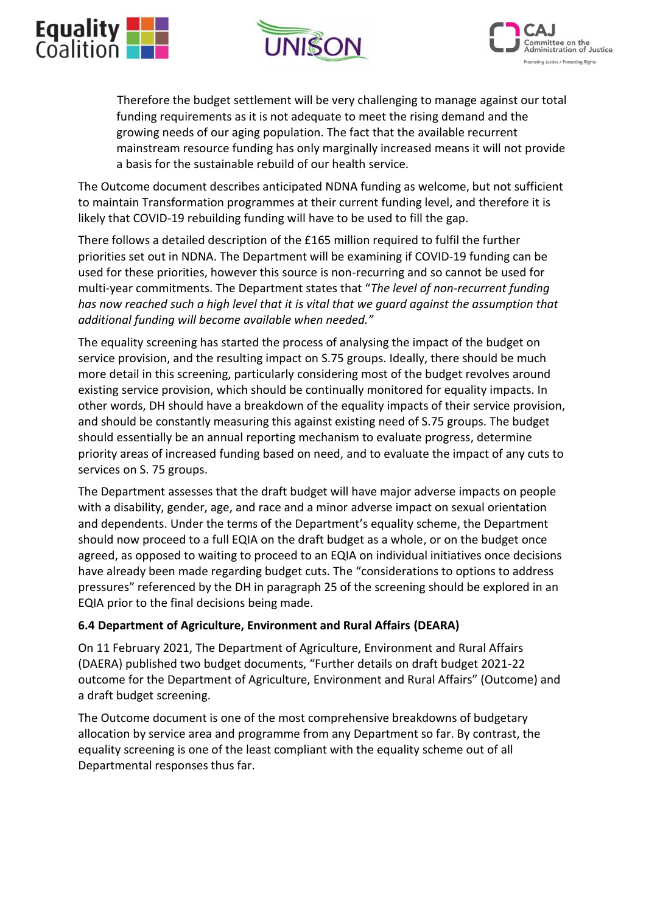





Therefore the budget settlement will be very challenging to manage against our total funding requirements as it is not adequate to meet the rising demand and the growing needs of our aging population. The fact that the available recurrent mainstream resource funding has only marginally increased means it will not provide a basis for the sustainable rebuild of our health service.

The Outcome document describes anticipated NDNA funding as welcome, but not sufficient to maintain Transformation programmes at their current funding level, and therefore it is likely that COVID-19 rebuilding funding will have to be used to fill the gap.

There follows a detailed description of the £165 million required to fulfil the further priorities set out in NDNA. The Department will be examining if COVID-19 funding can be used for these priorities, however this source is non-recurring and so cannot be used for multi-year commitments. The Department states that "*The level of non-recurrent funding has now reached such a high level that it is vital that we guard against the assumption that additional funding will become available when needed."*

The equality screening has started the process of analysing the impact of the budget on service provision, and the resulting impact on S.75 groups. Ideally, there should be much more detail in this screening, particularly considering most of the budget revolves around existing service provision, which should be continually monitored for equality impacts. In other words, DH should have a breakdown of the equality impacts of their service provision, and should be constantly measuring this against existing need of S.75 groups. The budget should essentially be an annual reporting mechanism to evaluate progress, determine priority areas of increased funding based on need, and to evaluate the impact of any cuts to services on S. 75 groups.

The Department assesses that the draft budget will have major adverse impacts on people with a disability, gender, age, and race and a minor adverse impact on sexual orientation and dependents. Under the terms of the Department's equality scheme, the Department should now proceed to a full EQIA on the draft budget as a whole, or on the budget once agreed, as opposed to waiting to proceed to an EQIA on individual initiatives once decisions have already been made regarding budget cuts. The "considerations to options to address pressures" referenced by the DH in paragraph 25 of the screening should be explored in an EQIA prior to the final decisions being made.

## **6.4 Department of Agriculture, Environment and Rural Affairs (DEARA)**

On 11 February 2021, The Department of Agriculture, Environment and Rural Affairs (DAERA) published two budget documents, "Further details on draft budget 2021-22 outcome for the Department of Agriculture, Environment and Rural Affairs" (Outcome) and a draft budget screening.

The Outcome document is one of the most comprehensive breakdowns of budgetary allocation by service area and programme from any Department so far. By contrast, the equality screening is one of the least compliant with the equality scheme out of all Departmental responses thus far.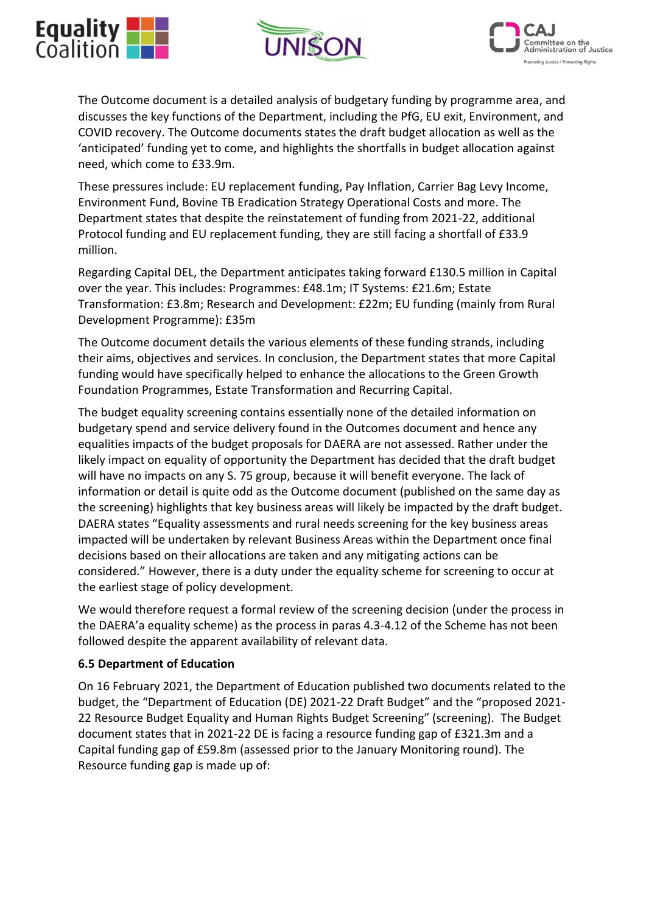





The Outcome document is a detailed analysis of budgetary funding by programme area, and discusses the key functions of the Department, including the PfG, EU exit, Environment, and COVID recovery. The Outcome documents states the draft budget allocation as well as the 'anticipated' funding yet to come, and highlights the shortfalls in budget allocation against need, which come to £33.9m.

These pressures include: EU replacement funding, Pay Inflation, Carrier Bag Levy Income, Environment Fund, Bovine TB Eradication Strategy Operational Costs and more. The Department states that despite the reinstatement of funding from 2021-22, additional Protocol funding and EU replacement funding, they are still facing a shortfall of £33.9 million.

Regarding Capital DEL, the Department anticipates taking forward £130.5 million in Capital over the year. This includes: Programmes: £48.1m; IT Systems: £21.6m; Estate Transformation: £3.8m; Research and Development: £22m; EU funding (mainly from Rural Development Programme): £35m

The Outcome document details the various elements of these funding strands, including their aims, objectives and services. In conclusion, the Department states that more Capital funding would have specifically helped to enhance the allocations to the Green Growth Foundation Programmes, Estate Transformation and Recurring Capital.

The budget equality screening contains essentially none of the detailed information on budgetary spend and service delivery found in the Outcomes document and hence any equalities impacts of the budget proposals for DAERA are not assessed. Rather under the likely impact on equality of opportunity the Department has decided that the draft budget will have no impacts on any S. 75 group, because it will benefit everyone. The lack of information or detail is quite odd as the Outcome document (published on the same day as the screening) highlights that key business areas will likely be impacted by the draft budget. DAERA states "Equality assessments and rural needs screening for the key business areas impacted will be undertaken by relevant Business Areas within the Department once final decisions based on their allocations are taken and any mitigating actions can be considered." However, there is a duty under the equality scheme for screening to occur at the earliest stage of policy development.

We would therefore request a formal review of the screening decision (under the process in the DAERA'a equality scheme) as the process in paras 4.3-4.12 of the Scheme has not been followed despite the apparent availability of relevant data.

#### **6.5 Department of Education**

On 16 February 2021, the Department of Education published two documents related to the budget, the "Department of Education (DE) 2021-22 Draft Budget" and the "proposed 2021- 22 Resource Budget Equality and Human Rights Budget Screening" (screening). The Budget document states that in 2021-22 DE is facing a resource funding gap of £321.3m and a Capital funding gap of £59.8m (assessed prior to the January Monitoring round). The Resource funding gap is made up of: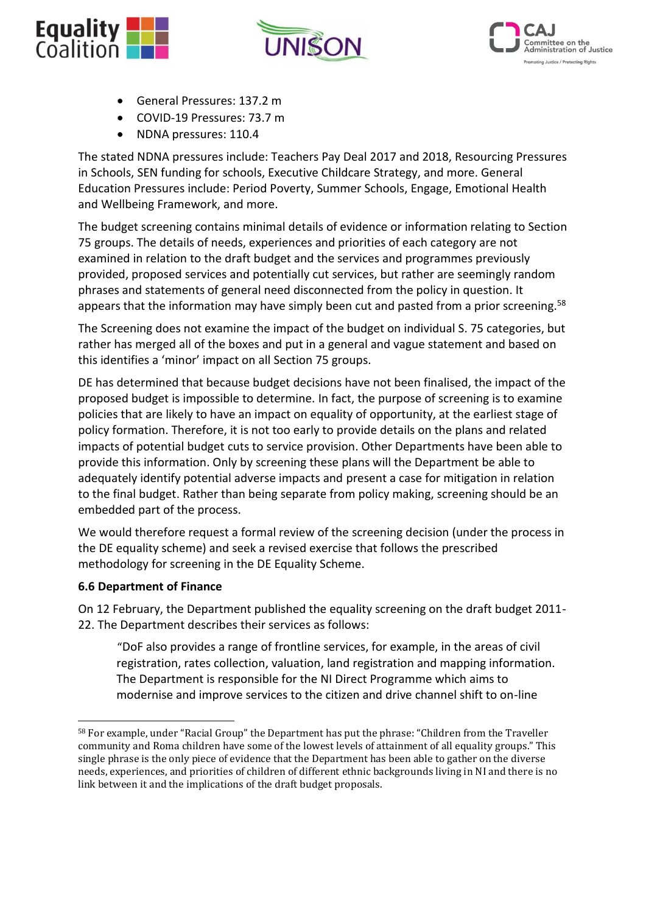





- General Pressures: 137.2 m
- COVID-19 Pressures: 73.7 m
- NDNA pressures: 110.4

The stated NDNA pressures include: Teachers Pay Deal 2017 and 2018, Resourcing Pressures in Schools, SEN funding for schools, Executive Childcare Strategy, and more. General Education Pressures include: Period Poverty, Summer Schools, Engage, Emotional Health and Wellbeing Framework, and more.

The budget screening contains minimal details of evidence or information relating to Section 75 groups. The details of needs, experiences and priorities of each category are not examined in relation to the draft budget and the services and programmes previously provided, proposed services and potentially cut services, but rather are seemingly random phrases and statements of general need disconnected from the policy in question. It appears that the information may have simply been cut and pasted from a prior screening.<sup>58</sup>

The Screening does not examine the impact of the budget on individual S. 75 categories, but rather has merged all of the boxes and put in a general and vague statement and based on this identifies a 'minor' impact on all Section 75 groups.

DE has determined that because budget decisions have not been finalised, the impact of the proposed budget is impossible to determine. In fact, the purpose of screening is to examine policies that are likely to have an impact on equality of opportunity, at the earliest stage of policy formation. Therefore, it is not too early to provide details on the plans and related impacts of potential budget cuts to service provision. Other Departments have been able to provide this information. Only by screening these plans will the Department be able to adequately identify potential adverse impacts and present a case for mitigation in relation to the final budget. Rather than being separate from policy making, screening should be an embedded part of the process.

We would therefore request a formal review of the screening decision (under the process in the DE equality scheme) and seek a revised exercise that follows the prescribed methodology for screening in the DE Equality Scheme.

#### **6.6 Department of Finance**

On 12 February, the Department published the equality screening on the draft budget 2011- 22. The Department describes their services as follows:

"DoF also provides a range of frontline services, for example, in the areas of civil registration, rates collection, valuation, land registration and mapping information. The Department is responsible for the NI Direct Programme which aims to modernise and improve services to the citizen and drive channel shift to on-line

<sup>58</sup> For example, under "Racial Group" the Department has put the phrase: "Children from the Traveller community and Roma children have some of the lowest levels of attainment of all equality groups." This single phrase is the only piece of evidence that the Department has been able to gather on the diverse needs, experiences, and priorities of children of different ethnic backgrounds living in NI and there is no link between it and the implications of the draft budget proposals.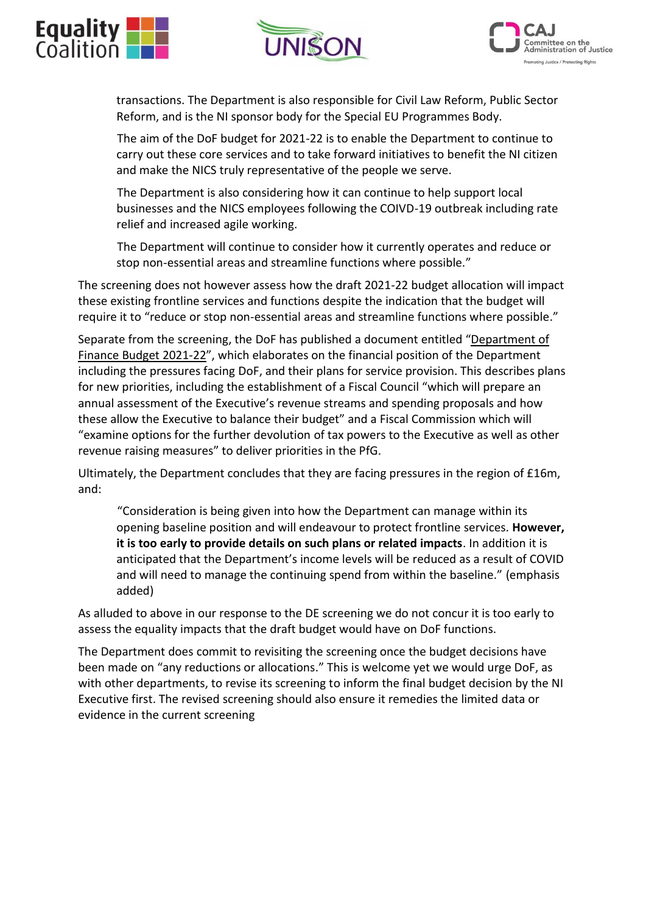





transactions. The Department is also responsible for Civil Law Reform, Public Sector Reform, and is the NI sponsor body for the Special EU Programmes Body.

The aim of the DoF budget for 2021-22 is to enable the Department to continue to carry out these core services and to take forward initiatives to benefit the NI citizen and make the NICS truly representative of the people we serve.

The Department is also considering how it can continue to help support local businesses and the NICS employees following the COIVD-19 outbreak including rate relief and increased agile working.

The Department will continue to consider how it currently operates and reduce or stop non-essential areas and streamline functions where possible."

The screening does not however assess how the draft 2021-22 budget allocation will impact these existing frontline services and functions despite the indication that the budget will require it to "reduce or stop non-essential areas and streamline functions where possible."

Separate from the screening, the DoF has published a document entitled "Department of Finance Budget 2021-22", which elaborates on the financial position of the Department including the pressures facing DoF, and their plans for service provision. This describes plans for new priorities, including the establishment of a Fiscal Council "which will prepare an annual assessment of the Executive's revenue streams and spending proposals and how these allow the Executive to balance their budget" and a Fiscal Commission which will "examine options for the further devolution of tax powers to the Executive as well as other revenue raising measures" to deliver priorities in the PfG.

Ultimately, the Department concludes that they are facing pressures in the region of £16m, and:

"Consideration is being given into how the Department can manage within its opening baseline position and will endeavour to protect frontline services. **However, it is too early to provide details on such plans or related impacts**. In addition it is anticipated that the Department's income levels will be reduced as a result of COVID and will need to manage the continuing spend from within the baseline." (emphasis added)

As alluded to above in our response to the DE screening we do not concur it is too early to assess the equality impacts that the draft budget would have on DoF functions.

The Department does commit to revisiting the screening once the budget decisions have been made on "any reductions or allocations." This is welcome yet we would urge DoF, as with other departments, to revise its screening to inform the final budget decision by the NI Executive first. The revised screening should also ensure it remedies the limited data or evidence in the current screening